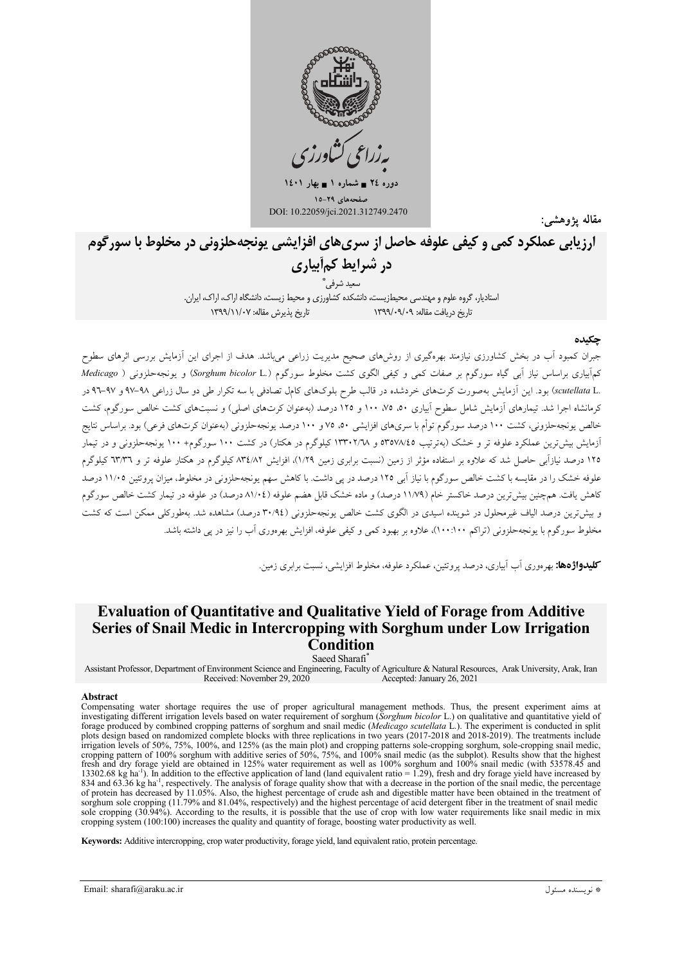

دوره ٢٤ = شماره ١ = بهار ١٤٠١ يفحههاي ٢٩-١٥ DOI: 10.22059/jci.2021.312749.2470

مقاله يژوهشه

ارزيابي عملكرد كمي و كيفي علوفه حاصل از سرىهاي افزايشي يونجهحلزوني در مخلوط با سورگوم در شرایط کمأبیاری

ُ سعيد شرفي ٌ

استادیار، گروه علوم و مهندسی محیطزیست، دانشکده کشاورزی و محیط زیست، دانشگاه اراک، اراک، ایران. تاریخ بذیرش مقاله: ۱۳۹۹/۱۱/۰۷ تاریخ دریافت مقاله: ۱۳۹۹/۰۹/۰۹

#### حكىده

.<br>جبران کمبود آب در بخش کشاورزی نیازمند بهرهگیری از روشهای صحیح مدیریت زراعی میباشد. هدف از اجرای این آزمایش بررسی اثرهای سطوح کمآبیاری براساس نیاز آبی گیاه سورگوم بر صفات کمی و کیفی الگوی کشت مخلوط سورگوم (Sorghum bicolor L.) و یونجهحلزونی ( Medicago .scutellata Lبود. این آزمایش بهصورت کرتهای خردشده در قالب طرح بلوکهای کامل تصادفی با سه تکرار طی دو سال زراعی ۹۸–۹۷ و ۹۷–۹۲ در کرمانشاه اجرا شد. تیمارهای آزمایش شامل سطوح آبیاری ۵۰، ۷۵، ۱۰۰ و ۱۲۵ درصد (بهعنوان کرتهای اصلی) و نسبتهای کشت خالص سورگوم، کشت خالص یونجهحلزونی، کشت ۱۰۰ درصد سورگوم توأم با سریهای افزایشی ۵۰، ۷۵ و ۱۰۰ درصد یونجهحلزونی (بهعنوان کرتهای فرعی) بود. براساس نتایج آزمایش بیش ترین عملکرد علوفه تر و خشک (بهترتیب ۳۵۷۸٬٤۵ و ۱۳۳۰۲/۲۸ کیلوگرم در هکتار) در کشت ۱۰۰ سورگوم+ ۱۰۰ یونجهحلزونی و در تیمار ۱۲۵ درصد نیازآبی حاصل شد که علاوه بر استفاده مؤثر از زمین (نسبت برابری زمین ۱/۲۹)، افزایش ۸۳٤/۸۲ کیلوگرم در هکتار علوفه تر و ۳۳/۳ علوفه خشک را در مقایسه با کشت خالص سورگوم با نیاز آبی ۱۲۵ درصد در پی داشت. با کاهش سهم یونجهحلزونی در مخلوط، میزان پروتئین ۱۱/۰۵ درصد کاهش یافت. همچنین بیش ترین درصد خاکستر خام (۱۱/۷۹ درصد) و ماده خشک قابل هضم علوفه (۸۱/۰٤ درصد) در علوفه در تیمار کشت خالص سورگوم و بیش ترین درصد الیاف غیرمحلول در شوینده اسیدی در الگوی کشت خالص یونجهحلزونی (۳۰٬۹٤ درصد) مشاهده شد. بهطورکلی ممکن است که کشت مخلوط سورگوم با یونجهحلزونی (تراکم ۱۰۰:۱۰۰)، علاوه بر بهبود کمی و کیفی علوفه، افزایش بهرهوری آب را نیز در پی داشته باشد.

**کلیدواژهها:** پهرووړي آب آپیاري، درصد پروتئين، عملکرد علوفه، مخلوط افزایشي، نسبت پرايږي زمين.

# **Evaluation of Ouantitative and Oualitative Yield of Forage from Additive** Series of Snail Medic in Intercropping with Sorghum under Low Irrigation Condition

Saeed Sharafi<sup>®</sup>

Assistant Professor, Department of Environment Science and Engineering, Faculty of Agriculture & Natural Resources, Arak University, Arak, Iran Received: November 29, 2020 Accepted: January 26, 2021

#### Abstract

Compensating water shortage requires the use of proper agricultural management methods. Thus, the present experiment aims at investigating different irrigation levels based on water requirement of sorghum (Sorghum bicolor L.) on qualitative and quantitative yield of forage produced by combined cropping patterns of sorghum and snail medic (Medicago scutellata L.). The experiment is conducted in split plots design based on randomized complete blocks with three replications in two years (2017-2018 and 2018-2019). The treatments include Frigation levels of 50%, 75%, 100%, and 125% (as the main plot) and cropping patterns sole-cropping sorghum, sole-cropping snail medic, cropping patterns of 50%, 75%, 100%, and 125% (as the main plot) and cropping patterns fresh and dry forage yield are obtained in 125% water requirement as well as 100% sorghum and 100% snail medic (with 53578.45 and 13302.68 kg ha<sup>-1</sup>). In addition to the effective application of land (land equivalent ratio = 1.29), fresh and dry forage yield have increased by  $\frac{1}{2}$  and 63.36 kg ha<sup>-1</sup>, respectively. The analysis of forage quality show that with a decrease in the portion of the snail medic, the percentage of protein has decreased by 11.05%. Also, the highest percentage of c sorghum sole cropping (11.79% and 81.04%, respectively) and the highest percentage of acid detergent fiber in the treatment of snail medic sole cropping (30.94%). According to the results, it is possible that the use of crop with low water requirements like snail medic in mix cropping system (100:100) increases the quality and quantity of forage, boosting water productivity as well.

Keywords: Additive intercropping, crop water productivity, forage yield, land equivalent ratio, protein percentage.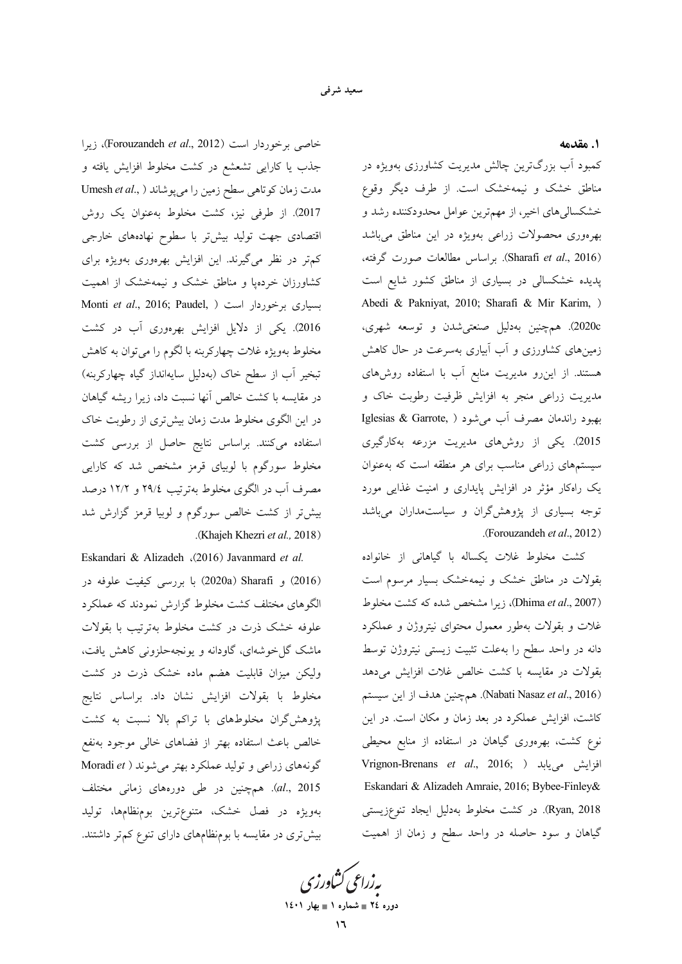1. مقدمه

کمبود آب بزرگترین چالش مدیریت کشاورزی بهویژه در مناطق خشک و نیمهخشک است. از طرف دیگر وقوع خشکسالیهای اخیر، از مهمترین عوامل محدودکننده رشد و بهرهوری محصولات زراعی بهویژه در این مناطق میباشد (Sharafi et al., 2016). براساس مطالعات صورت گرفته، پدیده خشکسالی در بسیاری از مناطق کشور شایع است Abedi & Pakniyat, 2010; Sharafi & Mir Karim, ) 2020c). همچنین بهدلیل صنعتی شدن و توسعه شهری، زمینهای کشاورزی و آب آبیاری بهسرعت در حال کاهش هستند. از اینِ رو مدیریت منابع آب با استفاده روشهای مدیریت زراعی منجر به افزایش ظرفیت رطوبت خاک و بهبود راندمان مصرف أب مي شود ( ,Iglesias & Garrote 2015). یکی از روشهای مدیریت مزرعه بهکارگیری سیستمهای زراعی مناسب برای هر منطقه است که بهعنوان یک راهکار مؤثر در افزایش پایداری و امنیت غذایی مورد توجه بسیاری از پژوهش گران و سیاستمداران میباشد (Forouzandeh et al., 2012).

کشت مخلوط غلات یکساله با گیاهانی از خانواده بقولات در مناطق خشک و نیمهخشک بسیار مرسوم است (Dhima et al., 2007)، زيرا مشخص شده كه كشت مخلوط غلات و بقولات بهطور معمول محتواى نيتروژن و عملكرد دانه در واحد سطح را بهعلت تثبيت زيستي نيتروژن توسط بقولات در مقایسه با کشت خالص غلات افزایش میدهد (Nabati Nasaz et al., 2016). همچنین هدف از این سیستم کاشت، افزایش عملکرد در بعد زمان و مکان است. در این نوع کشت، بهرهوری گیاهان در استفاده از منابع محیطی Vrignon-Brenans et al., 2016; ) افزايش مىيابد Eskandari & Alizadeh Amraie, 2016; Bybee-Finley& Ryan, 2018). در کشت مخلوط بهدلیل ایجاد تنوعزیستی گیاهان و سود حاصله در واحد سطح و زمان از اهمیت

خاصی برخوردار است (Forouzandeh et al., 2012)، زیرا جذب یا کارایی تشعشع در کشت مخلوط افزایش یافته و مدت زمان کوتاهی سطح زمین را میپوشاند ( ,Umesh et al 2017). از طرفی نیز، کشت مخلوط بهعنوان یک روش اقتصادی جهت تولید بیشتر با سطوح نهادههای خارجی کم تر در نظر میگیرند. این افزایش بهرهوری بهویژه برای کشاورزان خردهیا و مناطق خشک و نیمهخشک از اهمیت Monti et al., 2016; Paudel, ) بسیاری برخوردار است 2016). یکی از دلایل افزایش بهرهوری آب در کشت مخلوط بهویژه غلات چهارکربنه با لگوم را میتوان به کاهش تبخیر آب از سطح خاک (بهدلیل سایهانداز گیاه چهارکربنه) در مقایسه با کشت خالص آنها نسبت داد، زیرا ریشه گیاهان در این الگوی مخلوط مدت زمان بیشتری از رطوبت خاک استفاده میکنند. براساس نتایج حاصل از بررسی کشت مخلوط سورگوم با لوبیای قرمز مشخص شد که کارایی مصرف اّب در الگوی مخلوط بهترتیب ٢٩/٤ و ١٢/٢ درصد بیشتر از کشت خالص سورگوم و لوبیا قرمز گزارش شد (Khajeh Khezri et al., 2018).

Eskandari & Alizadeh (2016) Javanmard et al. (2016) و Sharafi (2020a) با بررسی کیفیت علوفه در الگوهای مختلف کشت مخلوط گزارش نمودند که عملکرد علوفه خشک ذرت در کشت مخلوط بهترتیب با بقولات ماشک گل خوشهای، گاودانه و یونجهحلزونی کاهش یافت، ولیکن میزان قابلیت هضم ماده خشک ذرت در کشت مخلوط با بقولات افزايش نشان داد. براساس نتايج پژوهش گران مخلوطهای با تراکم بالا نسبت به کشت خالص باعث استفاده بهتر از فضاهای خالی موجود بهنفع گونههای زراعی و تولید عملکرد بهتر میشوند ( Moradi et al., 2015). همچنین در طی دورههای زمانی مختلف بهویژه در فصل خشک، متنوعترین بومنظامها، تولید بیش تری در مقایسه با بومنظامهای دارای تنوع کم تر داشتند.

یه زراعی کشاورزی دوره ٢٤ = شماره ١ = بهار ١٤٠١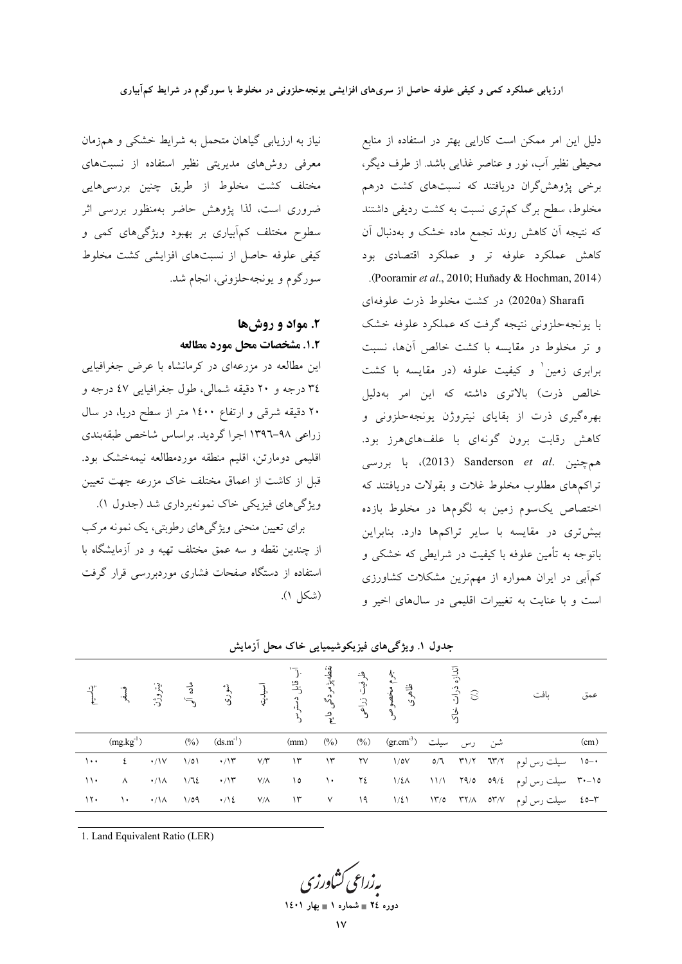دلیل این امر ممکن است کارایی بهتر در استفاده از منابع محیطی نظیر آب، نور و عناصر غذایی باشد. از طرف دیگر، برخی پژوهشگران دریافتند که نسبتهای کشت درهم مخلوط، سطح برگ کم;تری نسبت به کشت ردیفی داشتند که نتیجه آن کاهش روند تجمع ماده خشک و بهدنبال آن کاهش عملکرد علوفه تر و عملکرد اقتصادی بود .(Pooramir et al., 2010; Huňady & Hochman, 2014)

Sharafi (2020a) در کشت مخلوط ذرت علوفهای با یونجهحلزونی نتیجه گرفت که عملکرد علوفه خشک و تر مخلوط در مقايسه با كشت خالص آنها، نسبت برابری زمین و کیفیت علوفه (در مقایسه با کشت خالص ذرت) بالاترى داشته كه اين امر بهدليل بهرهگیری ذرت از بقایای نیتروژن پونجهحلزونی و کاهش رقابت برون گونهای با علفهایهرز بود. همچنین .Sanderson *et al* (2013)، با بررسی تراکمهای مطلوب مخلوط غلات و بقولات دریافتند که اختصاص یکسوم زمین به لگومها در مخلوط بازده بیشتری در مقایسه با سایر تراکمها دارد. بنابراین باتوجه به تأمین علوفه با کیفیت در شرایطی که خشکی و کمآبی در ایران همواره از مهمترین مشکلات کشاورزی است و با عنایت به تغییرات اقلیمی در سالهای اخیر و

نیاز به ارزیابی گیاهان متحمل به شرایط خشکی و همزمان معرفی روشهای مدیریتی نظیر استفاده از نسبتهای مختلف کشت مخلوط از طریق چنین بررسیهایی ضروری است، لذا پژوهش حاضر بهمنظور بررسی اثر سطوح مختلف کمآبیاری بر بهبود ویژگیهای کمی و کیفی علوفه حاصل از نسبتهای افزایشی کشت مخلوط سورگوم و يونجهحلزوني، انجام شد.

# ۲. مواد و روشها 1.2. مشخصات محل مورد مطالعه

این مطالعه در مزرعهای در کرمانشاه با عرض جغرافیایی ٣٤ درجه و ٢٠ دقيقه شمالي، طول جغرافيايي ٤٧ درجه و ۲۰ دقیقه شرقی و ارتفاع ۱٤۰۰ متر از سطح دریا، در سال زراعی ۹۸-۱۳۹٦ اجرا گردید. براساس شاخص طبقهبندی اقليمي دومارتن، اقليم منطقه موردمطالعه نيمهخشک بود. قبل از کاشت از اعماق مختلف خاک مزرعه جهت تعیین ویژگیهای فیزیکی خاک نمونهبرداری شد (جدول ۱). برای تعیین منحنی ویژگیهای رطوبتی، یک نمونه مرکب

از چندین نقطه و سه عمق مختلف تهیه و در آزمایشگاه با استفاده از دستگاه صفحات فشاری موردبررسی قرار گرفت (شكل ١).

|               |                |                  |                                   |                           |             |                          |               |            | نیاسیم و فسفر<br>اندازه ذرات می مخصوصی داستان شوری آوی فسفر<br>اندازه ذرات محصوصی دایم دسترسایته استان شوری آوی و استان شوری و استان شوری و استان به استان استان به استان اس<br>اندازه ذرات خاک |  | بافت                                                                                    | عمق  |
|---------------|----------------|------------------|-----------------------------------|---------------------------|-------------|--------------------------|---------------|------------|-------------------------------------------------------------------------------------------------------------------------------------------------------------------------------------------------|--|-----------------------------------------------------------------------------------------|------|
|               | $(mg.kg^{-1})$ |                  |                                   | $(\%)$ $(ds.m^{-1})$ (mm) |             |                          | (0/0)         |            | شن رس سیلت (gr.cm <sup>3</sup> ) (%)                                                                                                                                                            |  |                                                                                         | (cm) |
| $\cdots$      | $\epsilon$     | $\cdot/\sqrt{V}$ | $1/\circ 1$                       | $\cdot/\Upsilon$          | V/Y         | 15                       | $\mathcal{M}$ | ۲V         | $1/\circ V$                                                                                                                                                                                     |  | ۰–۱۵ سیلت رس لوم ۳۱/۲ ۳۱/۲ ۵/۲                                                          |      |
| $\rightarrow$ | $\Lambda$      |                  | $\cdot/\lambda$ $\lambda/\lambda$ | $\cdot/\Upsilon$          | $V/\Lambda$ | $\overline{\phantom{0}}$ | $\mathcal{N}$ | $\Upsilon$ |                                                                                                                                                                                                 |  | ۱۵–۳۰ سیلت رس لوم ۵۹/٤ - ۱۱/۱ - ۱/٤٨ - ۱/۸                                              |      |
| $\lambda$     |                |                  |                                   |                           |             |                          |               |            |                                                                                                                                                                                                 |  | ۵۳-۲۵ سیلت رس لوم ۳۲/۸ ۳۲/۸ ۱۳/۵ ۱/۵۱ - ۷/۸ ۱۲ - ۷/۸ ۱/۵ - ۱/۵۹ - ۱/۵۸ - ۱۰/۰ ۱/۵۹ - ۱۰ |      |

جدول ۱. ویژگی های فیزیکوشیمیایی خاک محل آزمایش

1. Land Equivalent Ratio (LER)

بەزراعى كشاورز دوره ٢٤ = شماره ١ = بهار ١٤٠١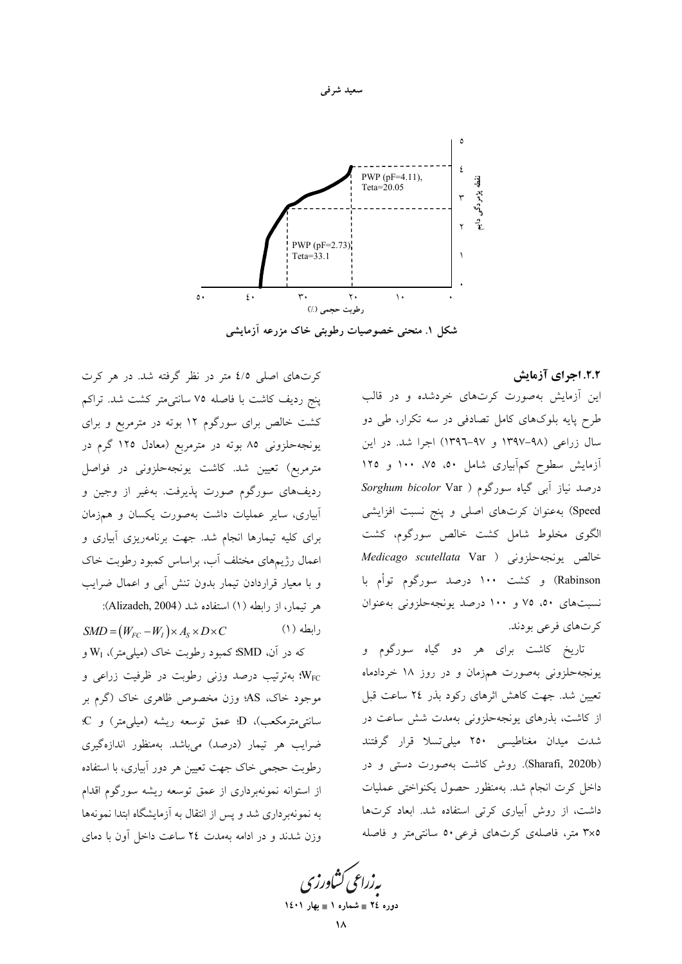

سعید شرفی

شکل ۱. منحنی خصوصیات رطوبتی خاک مزرعه آزمایشی

۲.۲. اجرای آزمایش

این آزمایش بهصورت کرتهای خردشده و در قالب طرح پایه بلوکهای کامل تصادفی در سه تکرار، طی دو سال زراعی (۹۸–۱۳۹۷ و ۹۷–۱۳۹۲) اجرا شد. در این آزمایش سطوح کمآبیاری شامل ۵۰، ۷۵، ۱۰۰ و ۱۲۵ درصد نیاز آبی گیاه سورگوم ( Sorghum bicolor Var Speed) به عنوان کرتهای اصلی و پنج نسبت افزایشی الگوی مخلوط شامل کشت خالص سورگوم، کشت خالص يونجه حلزوني ( Medicago scutellata Var Rabinson) و کشت ۱۰۰ درصد سورگوم توأم با نسبتهای ۵۰، ۷۵ و ۱۰۰ درصد یونجهحلزونی بهعنوان کړ تھای فرعي پودند.

تاریخ کاشت برای هر دو گیاه سورگوم و یونجه حلزونی بهصورت همزمان و در روز ۱۸ خردادماه تعیین شد. جهت کاهش اثرهای رکود بذر ٢٤ ساعت قبل از کاشت، بذرهای یونجهحلزونی بهمدت شش ساعت در شدت میدان مغناطیسی ۲۵۰ میلیتسلا قرار گرفتند (Sharafi, 2020b). روش كاشت بهصورت دستى و در داخل کرت انجام شد. بهمنظور حصول یکنواختی عملیات داشت، از روش آبیاری کرتی استفاده شد. ابعاد کرتها ۳×۵ متر، فاصلهی کرتهای فرعی ۵۰ سانتی متر و فاصله

پەزراعى ڭناورز دوره ٢٤ = شماره ١ = بهار ١٤٠١

کرتهای اصلی ٤/٥ متر در نظر گرفته شد. در هر کرت ينج رديف كاشت با فاصله ٧٥ سانتيءتر كشت شد. تراكم کشت خالص برای سورگوم ۱۲ بوته در مترمربع و برای یونجهحلزونی ۸۵ بوته در مترمربع (معادل ۱۲۵ گرم در مترمربع) تعیین شد. کاشت یونجهحلزونی در فواصل رديفهاي سورگوم صورت پذيرفت. بهغير از وجين و آبیاری، سایر عملیات داشت بهصورت یکسان و همزمان برای کلیه تیمارها انجام شد. جهت برنامهریزی آبیاری و اعمال رژیمهای مختلف آب، براساس کمبود رطوبت خاک و با معیار قراردادن تیمار بدون تنش آبی و اعمال ضرایب هر تيمار، از رابطه (١) استفاده شد (Alizadeh, 2004):

 $SMD = (W_{FC} - W_I) \times A_S \times D \times C$ رابطه (۱) که در آن، SMD؛ کمبود رطوبت خاک (میلی متر)، Wi و بهترتیب درصد وزنی رطوبت در ظرفیت زراعی و  $W_{\rm FC}$ موجود خاک، AS؛ وزن مخصوص ظاهری خاک (گرم بر سانتی مترمکعب)، D عمق توسعه ریشه (میلی متر) و C: ضرایب هر تیمار (درصد) میباشد. بهمنظور اندازهگیری رطوبت حجمی خاک جهت تعیین هر دور آبیاری، با استفاده از استوانه نمونهبرداری از عمق توسعه ریشه سورگوم اقدام به نمونهبرداری شد و پس از انتقال به آزمایشگاه ابتدا نمونهها وزن شدند و در ادامه بهمدت ٢٤ ساعت داخل آون با دماى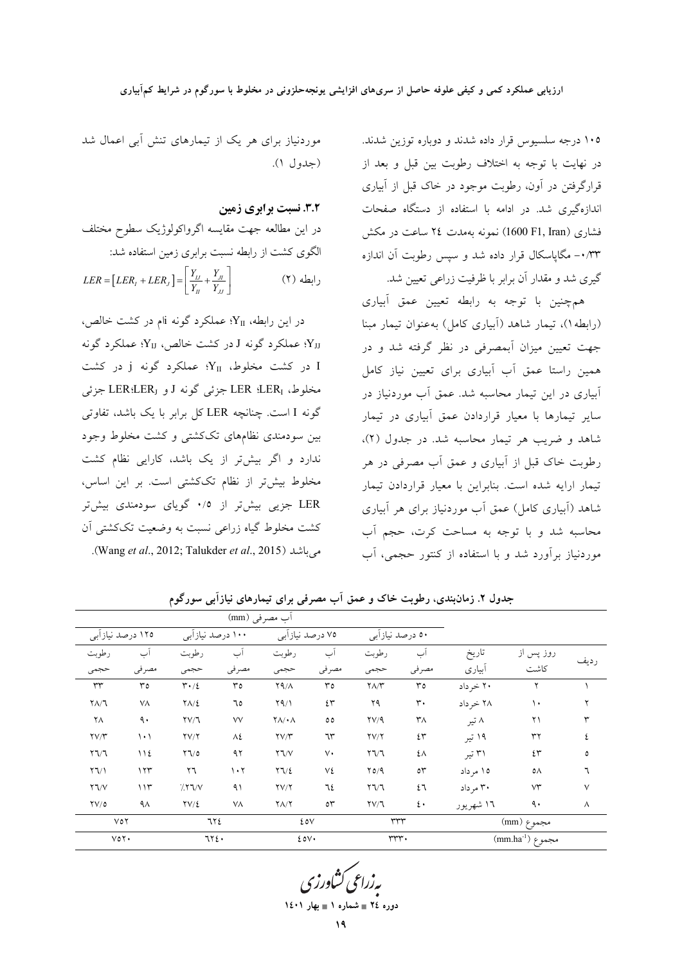(جدول ۱).

رابطه (۲)

3.2. نسبت برابری زمین

موردنیاز برای هر یک از تیمارهای تنش آبی اعمال شد

در این مطالعه جهت مقایسه اگرواکولوژیک سطوح مختلف

در این رابطه، YI؛ عملکرد گونه jiم در کشت خالص،

الا؛ عملكرد گونه J در كشت خالص، Yy؛ عملكرد گونه:

I در کشت مخلوط، Y<sub>II</sub>؛ عملکرد گونه j در کشت

مخلوط، LER {LER جزئي گونه J و LER{LER جزئي

گونه I است. چنانچه LER کل برابر با یک باشد، تفاوتی

بین سودمندی نظامهای تککشتی و کشت مخلوط وجود

ندارد و اگر بیشتر از یک باشد، کارایی نظام کشت

مخلوط بیشتر از نظام تککشتی است. بر این اساس،

LER جزیی بیشتر از ۰/٥ گویای سودمندی بیشتر

کشت مخلوط گیاه زراعی نسبت به وضعیت تککشتی آن

می باشد (Wang et al., 2012; Talukder et al., 2015).

 $LER=\left[ LER_{_{I}}+LER_{_{J}}\right] =\left\lceil \frac{Y_{_{IJ}}}{Y_{_{II}}}+\frac{Y_{_{JI}}}{Y_{_{II}}}\right\rceil$ 

الگوی کشت از رابطه نسبت برابری زمین استفاده شد:

۱۰۵ درجه سلسیوس قرار داده شدند و دوباره توزین شدند. در نهایت با توجه به اختلاف رطوبت بین قبل و بعد از قرارگرفتن در آون، رطوبت موجود در خاک قبل از آبیاری اندازهگیری شد. در ادامه با استفاده از دستگاه صفحات فشاری (1600 F1, Iran) نمونه بهمدت ٢٤ ساعت در مكش ۰/۳۳ - مگاپاسکال قرار داده شد و سیس رطوبت آن اندازه گیری شد و مقدار آن برابر با ظرفیت زراعی تعیین شد.

همچنین با توجه به رابطه تعیین عمق آبیاری (رابطه))، تیمار شاهد (آبیاری کامل) به عنوان تیمار مبنا جهت تعیین میزان آبمصرفی در نظر گرفته شد و در همین راستا عمق آب آبیاری برای تعیین نیاز کامل آبیاری در این تیمار محاسبه شد. عمق آب موردنیاز در سایر تیمارها با معیار قراردادن عمق آبیاری در تیمار شاهد و ضريب هر تيمار محاسبه شد. در جدول (٢)، رطوبت خاک قبل از آبیاری و عمق اَب مصرفی در هر تیمار ارایه شده است. بنابراین با معیار قراردادن تیمار شاهد (اَبِیاری کامل) عمق اَب موردنیاز برای هر اَبیاری محاسبه شد و با توجه به مساحت کرت، حجم آب موردنیاز برآورد شد و با استفاده از کنتور حجمی، آب

آب مصر في (mm) ۱۲۵ درصد نیازآبی ۱۰۰ درصد نیازآبی ۷۵ درصد نیازأبی ۵۰ درصد نیازأبی ر طويت آب رطوبت آب رطوبت آب رطوبت آب تاريخ روز پس از رديف أبياري كاشت مصرفي مصرفي مصرفي مصرفي حجمى حجمى حجمى حجمى ۲۰ خرداد $\overline{\phantom{a}}$  $\overline{\mathbf{r}}$  $\overline{r}$  $\overline{\mathbf{r} \cdot \mathbf{1}}$  $\overline{\mathbf{r}}$  $Y4/\Lambda$  $\overline{r}$  $\sqrt{\frac{1}{\pi}}$  $\overline{r}$  $\overline{r}$  $\overline{1}$  $Y\Lambda/T$  $V\Lambda$  $Y\Lambda/\Sigma$  $Y \sim 1$ ٤٣ ۲۹  $\mathbf{r}$  . ۲۸ خر داد  $\setminus\cdot$  $\mathbf Y$ ٦٥ ۸ تیر  $\mathsf{Y}\Lambda$  $\ddot{\mathsf{a}}$  $\Upsilon \vee \Upsilon$  $\vee$  $\mathsf{Y}\Lambda/\bullet\Lambda$  $\circ \circ$  $\Upsilon V / 9$  $\mathsf{r}_\Lambda$  $\Upsilon$  $\mathsf{r}\mathsf{v}\mathsf{n}$  $\lambda$  $\gamma V/\gamma$  $\mathsf{Y} \mathsf{V} \mathsf{Y}$  $\gamma V/\gamma$  $5r$  $\Lambda$  $\neg r$ ۱۹ تیر  $rr$  $\zeta$  $\mathbf{Y} \mathbf{V} \mathbf{V}$  $\bigwedge$   $\bigwedge$  $\Upsilon \Upsilon$  $97$  $Y\mathbb{V}\vee$  $\vee$  $\mathbf{r} \vee \mathbf{r}$  $\mathfrak{t} \wedge$ ۳۱ تیر  $2r$  $\Delta$  $\Upsilon \Upsilon$  $177$  $\mathbf{y}$  $\mathcal{N} \cdot \mathcal{N}$  $\Upsilon \Upsilon / \xi$ ٧٤  $Y_0/9$  $\circ \tau$ ١٥ مرداد ٥٨  $\mathbf{Y} \mathbf{V} \mathbf{V}$  $115$  $777/$  $\gamma v/\gamma$  $\mathbf{y} \mathbf{y}$ ۳۰ مرداد  $\vee \check{}$  $\Lambda$ ٦٤  $\mathfrak{t}$ ٦  $\vee$  $\mathfrak{t}$  .  $\Upsilon V/\mathcal{O}$  $\Upsilon V/\xi$  $\gamma \Lambda/\gamma$  $\circ \tau$  $\Upsilon V/T$  $\ddot{\mathcal{A}}$  $4\lambda$  $V\Lambda$ ۱٦ شهريور  $\Lambda$ 772 مجموع (mm) ٧٥٢  $20V$  $rrr$ مجموع (mm.ha<sup>-1</sup>)  $\overline{v}$  $\overline{\tau\tau_{\ell}}$ rrr.  $5.0V$ 

جدول ۲. زمانبندی، رطوبت خاک و عمق آب مصرفی برای تیمارهای نیازآبی سورگوم

دوره ٢٤ = شماره ١ = بهار ١٤٠١

١٩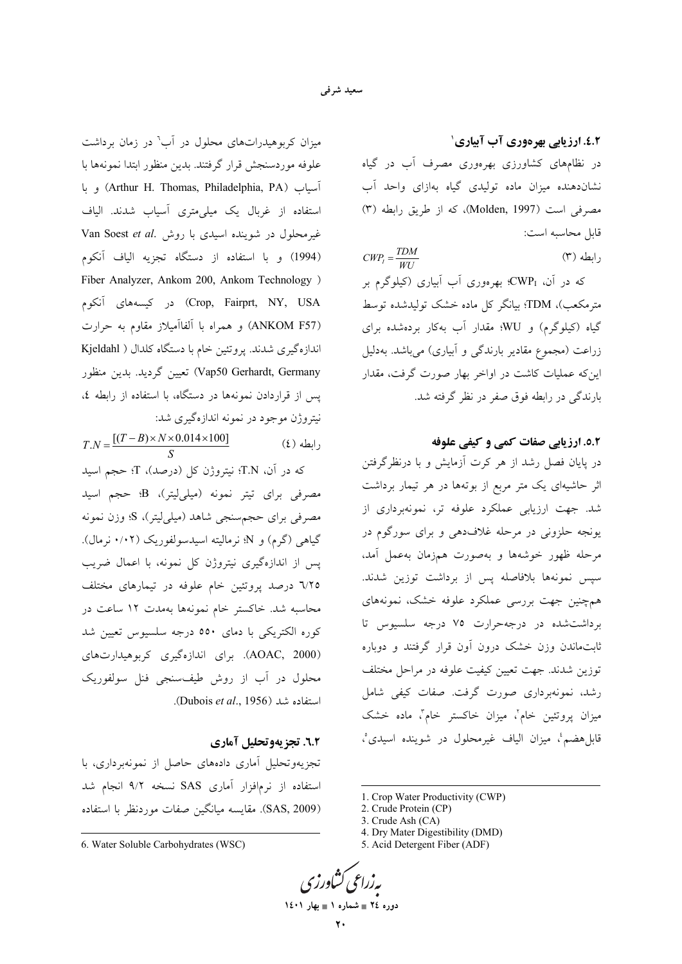٤.۲. ارزیابی بهرهوری آب آبیاری`

در نظامهای کشاورزی بهرهوری مصرف آب در گیاه نشاندهنده میزان ماده تولیدی گیاه بهازای واحد آب مصرفی است (Molden, 1997)، که از طریق رابطه (۳) قابل محاسبه است:

 $CWP_{I} = \frac{TDM}{W1}$  $(T)$  ابطه

که در آن، CWPı؛ بهرهوری آب آبیاری (کیلوگرم بر مترمکعب)، TDM؛ بیانگر کل ماده خشک تولیدشده توسط گیاه (کیلوگرم) و WU؛ مقدار آب بهکار بردهشده برای زراعت (مجموع مقادیر بارندگی و آبیاری) می باشد. بهدلیل اینکه عملیات کاشت در اواخر بهار صورت گرفت، مقدار بارندگی در رابطه فوق صفر در نظر گرفته شد.

## 0.۲. ارزیابی صفات کمی و کیفی علوفه

در پایان فصل رشد از هر کرت آزمایش و با درنظرگرفتن اثر حاشیهای یک متر مربع از بوتهها در هر تیمار برداشت شد. جهت ارزیابی عملکرد علوفه تر، نمونهبرداری از یونجه حلزونی در مرحله غلافدهی و برای سورگوم در مرحله ظهور خوشهها و بهصورت همزمان بهعمل آمد، سپس نمونهها بلافاصله پس از برداشت توزین شدند. همچنین جهت بررسی عملکرد علوفه خشک، نمونههای برداشت شده در درجه حرارت ۷۵ درجه سلسیوس تا ثابت.اندن وزن خشک درون آون قرار گرفتند و دوباره توزین شدند. جهت تعیین کیفیت علوفه در مراحل مختلف رشد، نمونهبرداری صورت گرفت. صفات کیفی شامل میزان پروتئین خام'، میزان خاکستر خام"، ماده خشک قابلهضم، ميزان الياف غيرمحلول در شوينده اسيدي°،

1. Crop Water Productivity (CWP)

- 4. Dry Mater Digestibility (DMD)
- 5. Acid Detergent Fiber (ADF)

دوره ٢٤ = شماره ١ = بهار ١٤٠١

میزان کربوهیدراتهای محلول در آب<sup>٬</sup> در زمان برداشت علوفه موردسنجش قرار گرفتند. بدین منظور ابتدا نمونهها با و با (Arthur H. Thomas, Philadelphia, PA) و با استفاده از غربال یک میلی متری آسیاب شدند. الیاف غیر محلول در شوینده اسیدی با روش .Van Soest et al (1994) و با استفاده از دستگاه تجزیه الیاف آنکوم Fiber Analyzer, Ankom 200, Ankom Technology ) Crop, Fairprt, NY, USA) در کیسههای آنکوم (ANKOM F57) و همراه با آلفاآمیلاز مقاوم به حرارت اندازهگیری شدند. پروتئین خام با دستگاه کلدال ( Kjeldahl Vap50 Gerhardt, Germany) تعيين گرديد. بدين منظور پس از قراردادن نمونهها در دستگاه، با استفاده از رابطه ٤، نیتروژن موجود در نمونه اندازهگیری شد:

 $T.N = \frac{[(T-B) \times N \times 0.014 \times 100]}{S}$  $(2)$  رابطه كه در آن، T.N: نيتروژن كل (درصد)، T؛ حجم اسيد مصرفی برای تیتر نمونه (میلی!پتر)، B؛ حجم اسید مصرفی برای حجمسنجی شاهد (میل<sub>ی</sub>لیتر)، S؛ وزن نمونه گیاهی (گرم) و N؛ نرمالیته اسیدسولفوریک (۰/۰۲ نرمال). پس از اندازهگیری نیتروژن کل نمونه، با اعمال ضریب ٦/٢٥ درصد يروتئين خام علوفه در تيمارهاي مختلف محاسبه شد. خاکستر خام نمونهها بهمدت ۱۲ ساعت در کوره الکتریکی با دمای ٥٥٠ درجه سلسیوس تعیین شد (AOAC, 2000). برای اندازهگیری کربوهیدارتهای محلول در آب از روش طیفسنجی فنل سولفوریک استفاده شد (Dubois et al., 1956).

#### 1.2. تجزیهوتحلیل آماری

تجزیهوتحلیل آماری دادههای حاصل از نمونهبرداری، با استفاده از نرم|فزار آماری SAS نسخه ۹/۲ انجام شد (SAS, 2009). مقايسه ميانگين صفات موردنظر با استفاده

<sup>2.</sup> Crude Protein (CP)

<sup>3.</sup> Crude Ash (CA)

<sup>6.</sup> Water Soluble Carbohydrates (WSC)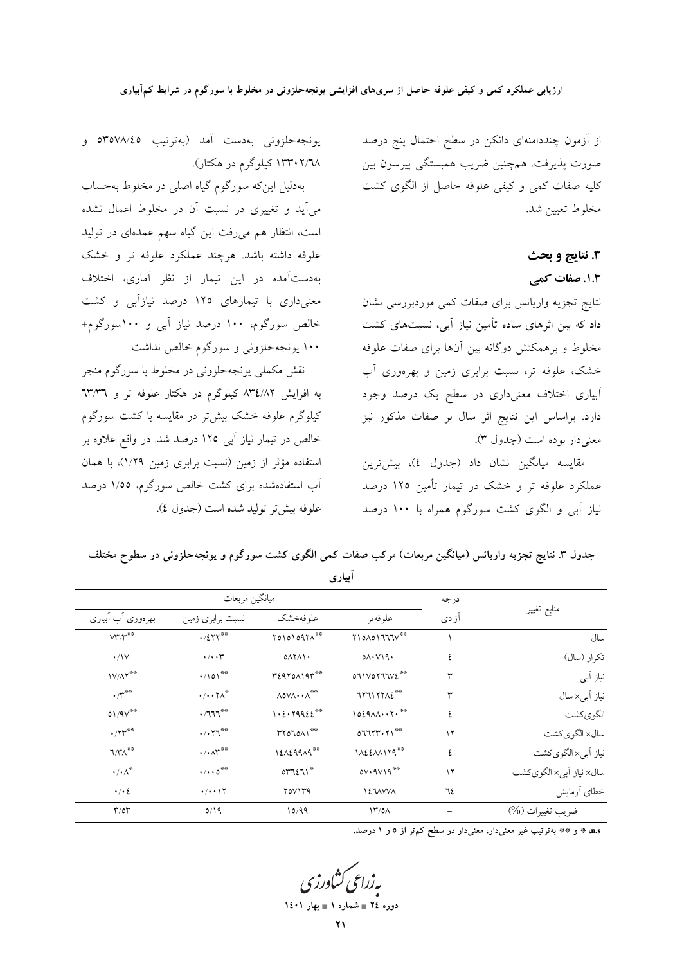از آزمون چنددامنهای دانکن در سطح احتمال پنج درصد صورت پذیرفت. همچنین ضریب همبستگی پیرسون بین کلیه صفات کمی و کیفی علوفه حاصل از الگوی کشت مخلوط تعيين شد.

# 3. نتايج و بحث

1.3. صفات کمی

نتايج تجزيه واريانس براى صفات كمى موردبررسى نشان داد که بین اثرهای ساده تأمین نیاز آبی، نسبتهای کشت مخلوط و برهمکنش دوگانه بین آنها برای صفات علوفه خشک، علوفه تر، نسبت برابری زمین و بهرهوری آب ۔<br>ابیاری اختلاف معنیداری در سطح یک درصد وجود دارد. براساس این نتایج اثر سال بر صفات مذکور نیز معنى دار بوده است (جدول ٣).

مقايسه ميانگين نشان داد (جدول ٤)، بيشترين عملکرد علوفه تر و خشک در تیمار تأمین ۱۲۵ درصد نیاز آبی و الگوی کشت سورگوم همراه با ۱۰۰ درصد

يونجەحلزونى بەدست آمد (بەترتيب ٥٣٥٧٨/٤٥ و ۱۳۳۰۲/۲۸ کیلوگرم در هکتار).

بهدلیل این که سورگوم گیاه اصلی در مخلوط به حساب میآید و تغییری در نسبت آن در مخلوط اعمال نشده است، انتظار هم میروفت این گیاه سهم عمدهای در تولید علوفه داشته باشد. هرچند عملکرد علوفه تر و خشک بهدستآمده در این تیمار از نظر آماری، اختلاف معنیداری با تیمارهای ۱۲۵ درصد نیازآبی و کشت خالص سورگوم، ۱۰۰ درصد نیاز آبی و ۱۰۰سورگوم+ ۱۰۰ یونجهحلزونی و سورگوم خالص نداشت.

نقش مكملي يونجهحلزوني در مخلوط با سورگوم منجر به افزایش ۸۳٤/۸۲ کیلوگرم در هکتار علوفه تر و ٦٣/٣٦ کیلوگرم علوفه خشک بیشتر در مقایسه با کشت سورگوم خالص در تیمار نیاز آبی ۱۲۵ درصد شد. در واقع علاوه بر استفاده مؤثر از زمین (نسبت برابری زمین ۱/۲۹)، با همان آب استفادهشده برای کشت خالص سورگوم، ۱/۵۵ درصد علوفه بيش تر توليد شده است (جدول ٤).

|                                              |                                                  |                                                                                                                                                     | أبياري                                                                                                                                                                                                                                                                          |          |                                                      |
|----------------------------------------------|--------------------------------------------------|-----------------------------------------------------------------------------------------------------------------------------------------------------|---------------------------------------------------------------------------------------------------------------------------------------------------------------------------------------------------------------------------------------------------------------------------------|----------|------------------------------------------------------|
|                                              | ميانگين مربعات                                   | درجه                                                                                                                                                |                                                                                                                                                                                                                                                                                 |          |                                                      |
| بهرەورى أب أبيارى                            | نسبت برابري زمين                                 | علوفهخشك                                                                                                                                            | علوفهتر                                                                                                                                                                                                                                                                         | آزادى    | منابع تغيير                                          |
| $\mathsf{V}\mathsf{Y}'\mathsf{Y}^{\ast\ast}$ | $\cdot$ /2 $\tau$ r <sup>**</sup>                | $\begin{array}{c} \uparrow \circ \upharpoonright \circ \upharpoonright \circ \upharpoonright \circ \upharpoonright \wedge^{\ast \circ} \end{array}$ | $\begin{array}{c} \texttt{N} \\ \texttt{N} \end{array} \begin{array}{c} \texttt{N} \\ \texttt{N} \end{array} \begin{array}{c} \texttt{N} \\ \texttt{N} \end{array} \begin{array}{c} \texttt{N} \\ \texttt{N} \end{array} \begin{array}{c} \texttt{N} \\ \texttt{N} \end{array}$ |          | سال                                                  |
| $\cdot/\nu$                                  | $\cdot/\cdot\cdot$                               | $0\Lambda Y\Lambda Y$                                                                                                                               | $0 \wedge \cdot \vee \vee 9 \cdot$                                                                                                                                                                                                                                              | ٤        | نكرار (سال)                                          |
| $\mathsf{IV}/\mathsf{AT}^{\ast\ast}$         | $\cdot$ /101**                                   | regrouser **                                                                                                                                        | ${\tt oIVOTTIVE}^{**}$                                                                                                                                                                                                                                                          | ٣        | نیاز آبی                                             |
| $\cdot$ /r $^{\ast\ast}$                     | $\cdot/\cdot\cdot\gamma\wedge^*$                 | $\wedge$ 0 $\vee \wedge \cdot \cdot \wedge^{\ast \ast}$                                                                                             | $\uparrow \uparrow \uparrow \uparrow \uparrow \uparrow \wedge \uparrow ^{\ast \ast }$                                                                                                                                                                                           | ٣        | نیاز آب <sub>ی</sub> × سال                           |
| $01/9V^{\# \#}$                              | $\cdot$ /111**                                   | $1.2.79922^{*0}$                                                                                                                                    | $1029M7.***$                                                                                                                                                                                                                                                                    | ٤        | لگويكشت                                              |
| $\cdot$ /۲۳**                                | $\cdot$ / $\cdot$ $\uparrow$ <sup>**</sup>       | rronon                                                                                                                                              | 077777.71                                                                                                                                                                                                                                                                       | $\gamma$ | سال× الگويكشت                                        |
| $7/\gamma\Lambda^{**}$                       | $\cdot/\cdot\wedge^{\mathbf{w}^{\oplus \oplus}}$ | 12129919                                                                                                                                            | $NAEAM179***$                                                                                                                                                                                                                                                                   | ٤        | نیاز آبی× الگویکشت                                   |
| $\cdot/\cdot \wedge^*$                       | $\cdot/\cdot\cdot0^{***}$                        | $OTTI^*$                                                                                                                                            | $0V*9V19^{**}$                                                                                                                                                                                                                                                                  | $\gamma$ | سال× نیاز اَبی× الگويكشت                             |
| $\cdot/\cdot\,$                              | $\cdot/\cdot\cdot$ \ $\Upsilon$                  | Y0V1Y9                                                                                                                                              | <b>IEWWA</b>                                                                                                                                                                                                                                                                    | ٦٤       | خطاي آزمايش                                          |
| $\mathbf{r}/\mathbf{or}$                     | 0/19                                             | 10/99                                                                                                                                               | $\frac{17}{0}$                                                                                                                                                                                                                                                                  |          | ضريب تغييرات (%)                                     |
|                                              |                                                  |                                                                                                                                                     |                                                                                                                                                                                                                                                                                 |          | ومستعملته والتراغي ممز داريمن دارد بالمسكنتان فملدون |

جدول ٣. نتايج تجزيه واريانس (ميانگين مربعات) مركب صفات كمي الگوى كشت سورگوم و يونجهحلزوني در سطوح مختلف

n، ٭ و ٭٭ بهترتیب غیر معنیدار، معنیدار در سطح کم تر از ٥ و ١ درصد.

دوره ٢٤ = شماره ١ = بهار ١٤٠١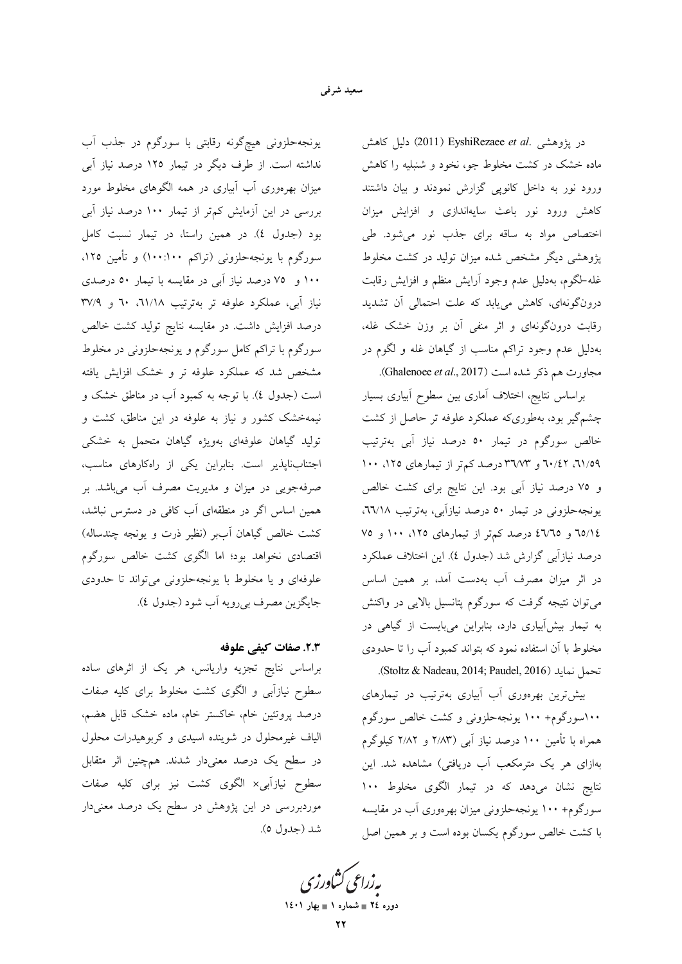در پژوهشی .EyshiRezaee et al (2011) EyshiRezaee et al دلیل کاهش ماده خشک در کشت مخلوط جو، نخود و شنبلیه را کاهش ورود نور به داخل كانويى گزارش نمودند و بيان داشتند کاهش ورود نور باعث سایهاندازی و افزایش میزان اختصاص مواد به ساقه برای جذب نور میشود. طی یژوهشی دیگر مشخص شده میزان تولید در کشت مخلوط غله-لگوم، بهدلیل عدم وجود آرایش منظم و افزایش رقابت درونگونهای، کاهش مییابد که علت احتمالی آن تشدید رقابت درونگونهای و اثر منفی آن بر وزن خشک غله، بهدلیل عدم وجود تراکم مناسب از گیاهان غله و لگوم در مجاورت هم ذكر شده است (Ghalenoee et al., 2017).

براساس نتايج، اختلاف أماري بين سطوح أبياري بسيار چشمگیر بود، بهطوریکه عملکرد علوفه تر حاصل از کشت خالص سورگوم در تیمار ٥٠ درصد نیاز آبی بهترتیب ٬۱۱/۵۹ تا۰/۰۲ و ۳٦/۷۳ درصد کمتر از تیمارهای ۱۰۰ ۱۰۰ و ٧٥ درصد نياز آبي بود. اين نتايج براي كشت خالص یونجهحلزونی در تیمار ٥٠ درصد نیازآبی، بهترتیب ٦٦/١٨. ٦٥/١٤ و ٤٦/٦٥ درصد كمتر از تيمارهاى ١٢٥، ١٠٠ و ٧٥ درصد نیازآبی گزارش شد (جدول ٤). این اختلاف عملکرد در اثر میزان مصرف آب بهدست آمد، بر همین اساس میتوان نتیجه گرفت که سورگوم پتانسیل بالایی در واکنش به تیمار بیش آبیاری دارد، بنابراین میبایست از گیاهی در مخلوط با آن استفاده نمود که بتواند کمبود آب را تا حدودی .(Stoltz & Nadeau, 2014; Paudel, 2016).

بیش ترین بهرهوری آب آبیاری بهترتیب در تیمارهای ۱۰۰سورگوم+ ۱۰۰ یونجهحلزونی و کشت خالص سورگوم همراه با تأمین ۱۰۰ درصد نیاز آب<sub>ی</sub> (۲٬۸۳ و ۲٬۸۲ کیلوگرم بهازای هر یک مترمکعب آب دریافتی) مشاهده شد. این نتايج نشان مىدهد كه در تيمار الگوى مخلوط ١٠٠ سورگوم+ ۱۰۰ یونجهحلزونی میزان بهرهوری آب در مقایسه با کشت خالص سورگوم یکسان بوده است و بر همین اصل

بەزراعى كشاورز دوره ٢٤ = شماره ١ = بهار ١٤٠١

یونجهحلزونی هیچگونه رقابتی با سورگوم در جذب آب نداشته است. از طرف دیگر در تیمار ۱۲۵ درصد نیاز آبی میزان بهرهوری آب آبیاری در همه الگوهای مخلوط مورد بررسی در این آزمایش کمتر از تیمار ۱۰۰ درصد نیاز آبی بود (جدول ٤). در همين راستا، در تيمار نسبت كامل سورگوم با یونجهحلزونی (تراکم ۱۰۰:۱۰۰) و تأمین ۱۲۵، ۱۰۰ و ۷۵ درصد نیاز آبی در مقایسه با تیمار ۵۰ درصدی نیاز آبی، عملکرد علوفه تر بهترتیب ٦١/١٨، ٦٠ و ٣٧/٩ درصد افزایش داشت. در مقایسه نتایج تولید کشت خالص سورگوم با تراکم کامل سورگوم و یونجهحلزونی در مخلوط مشخص شد که عملکرد علوفه تر و خشک افزایش یافته است (جدول ٤). با توجه به كمبود أب در مناطق خشك و نیمهخشک کشور و نیاز به علوفه در این مناطق، کشت و تولید گیاهان علوفهای بهویژه گیاهان متحمل به خشکی اجتنابناپذیر است. بنابراین یکی از راهکارهای مناسب، صرفهجویی در میزان و مدیریت مصرف آب میباشد. بر همین اساس اگر در منطقهای آب کافی در دسترس نباشد، كشت خالص گياهان آببر (نظير ذرت و يونجه چندساله) اقتصادی نخواهد بود؛ اما الگوی کشت خالص سورگوم علوفهای و یا مخلوط با یونجهحلزونی می تواند تا حدودی جايگزين مصرف بي رويه أب شود (جدول ٤).

### ٢.٣. صفات كيفي علوفه

براساس نتایج تجزیه واریانس، هر یک از اثرهای ساده سطوح نیازآبی و الگوی کشت مخلوط برای کلیه صفات درصد پروتئین خام، خاکستر خام، ماده خشک قابل هضم، الیاف غیرمحلول در شوینده اسیدی و کربوهیدرات محلول در سطح یک درصد معنیدار شدند. همچنین اثر متقابل سطوح نیازآبی× الگوی کشت نیز برای کلیه صفات موردبررسی در این پژوهش در سطح یک درصد معنیدار شد (جدول ٥).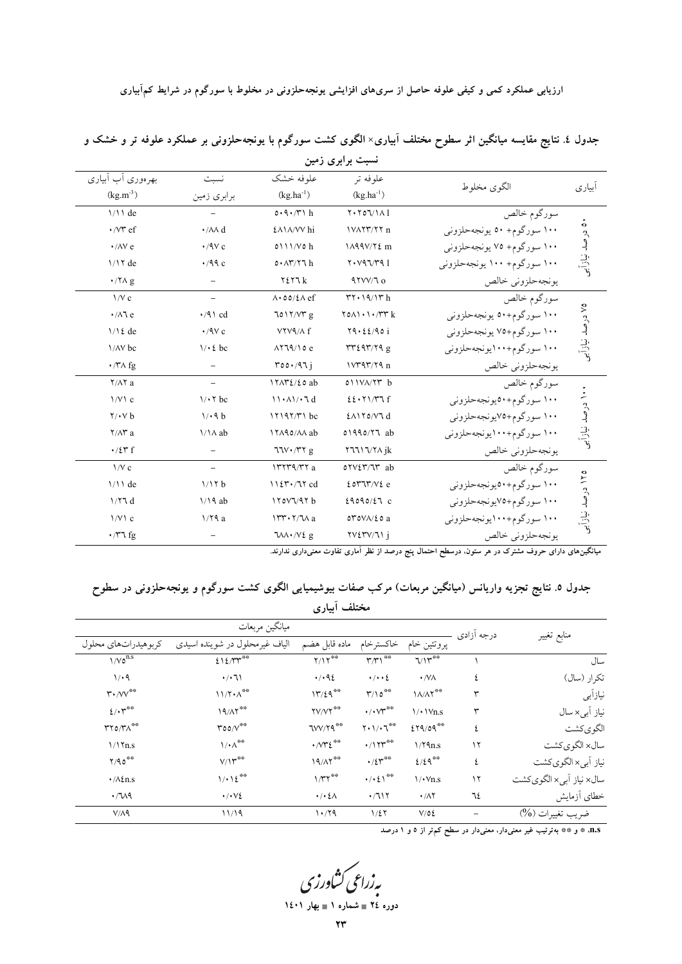| بهرهوري أب أبياري              | نسبت                      | علوفه خشک                          | علوفه تر                                   | الگوى مخلوط                 | أبياري                                                 |
|--------------------------------|---------------------------|------------------------------------|--------------------------------------------|-----------------------------|--------------------------------------------------------|
| $(kg.m^{-3})$                  | برابري زمين               | $(kg.ha^{-1})$                     | $(kg.ha^{-1})$                             |                             |                                                        |
| $1/11$ de                      |                           | $0.9.7$ h                          | $Y \cdot Y \circ Y \wedge 1$               | سورگوم خالص                 |                                                        |
| $\cdot$ /V $\tau$ ef           | $\cdot$ / $\land \land$ d | <b>£A1A/VV</b> hi                  | IVAYY/YY n                                 | ۱۰۰ سورگوم+ ۵۰ يونجهحلزوني  |                                                        |
| $\cdot$ / $\wedge$ Y e         | $\cdot$ /9 $\vee$ c       | $0$ \ \ \/ $V$ $\circ$ h           | 1A99V/Y2m                                  | ۱۰۰ سورگوم+ ۷۵ يونجهحلزوني  |                                                        |
| $1/17$ de                      | $\cdot$ /99 c             | 0.17/77h                           | Y. V97/T91                                 | ۱۰۰ سورگوم+ ۱۰۰ یونجهحلزونی |                                                        |
| $\cdot$ / $\sqrt{A}$ g         |                           | $Y \xi Y$ ٦ $k$                    | $41VV/T_0$                                 | يونجهحلزوني خالص            | ٥٠ درصد نيازأبني<br>0٧ درصد نیازأبر<br>۱۰ درصد نیازآبی |
| $\frac{1}{V}$ c                |                           | $\Lambda$ . 00/2 $\Lambda$ ef      | $rr \cdot 19/17 h$                         | سورگوم خالص                 |                                                        |
| $\cdot$ / $\wedge$ 1 e         | $\cdot$ /9 \ cd           | 7017/VTg                           | $\gamma$ on $\gamma$ , $\gamma$ $\gamma$ k | ۱۰۰ سورگوم+۵۰ يونجهحلزوني   |                                                        |
| $1/\lambda$ { de               | $\cdot$ /9 $\vee$ c       | VYV٩/٨ f                           | Y9.22/901                                  | ۱۰۰ سورگوم+۷۵ يونجهحلزوني   |                                                        |
| \/AV bc                        | $1/\cdot 2$ bc            | $\Lambda$ 719/10 $e$               | rr24r/79g                                  | ۱۰۰ سورگوم+۱۰۰یونجهحلزونی   |                                                        |
| $\cdot$ /* A fg                |                           | $\text{root}(47)$                  | $V^{\prime\prime}$ ۹۳/۲۹ $n$               | يونجهحلزوني خالص            |                                                        |
| $Y/\Lambda Y$ a                |                           | $17AYE/E0$ ab                      | 011VA/YT b                                 | سورگوم خالص                 |                                                        |
| 1/V1c                          | $1/47$ bc                 | $11.41/-7d$                        | 22.51/TT                                   | ۱۰۰ سورگوم+۵۰یونجهحلزونی    |                                                        |
| $\mathbf{Y}/\mathbf{V}$ b      | 1/4 b                     | $17197/T1$ bc                      | $E$ $N$ $V$ $V$ $d$                        | ۱۰۰ سورگوم+۷۵یونجهحلزونی    |                                                        |
| $Y/\Lambda Y$ a                | $1/\lambda$ ab            | ITA90/AA ab                        | 01990/77 ab                                | ۱۰۰ سورگوم+۱۰۰یونجهحلزونی   |                                                        |
| $\cdot$ / $\zeta$ $\uparrow$ f |                           | $77V \cdot 77 g$                   | Y 111 V X A j k                            | يونجهحلزوني خالص            |                                                        |
| $\frac{1}{V}$ c                | $\overline{\phantom{a}}$  | ITTT9/TT a                         | $o\gamma\gamma\gamma\gamma\gamma$ ab       | سورگوم خالص                 |                                                        |
| $1/11$ de                      | 1/17 b                    | $1127.77$ cd                       | 20Y''''/V2e                                | ۱۰۰ سورگوم+۵۰یونجهحلزونی    |                                                        |
| 1/77d                          | $1/19$ ab                 | 170VV47b                           | 29090/E7c                                  | ۱۰۰ سورگوم+۷۵یونجهحلزونی    |                                                        |
| 1/V1c                          | 1/19a                     | $1rr + 7/7$ a                      | $OTOV\Lambda/\&O$ a                        | ۱۰۰ سورگوم+۱۰۰یونجهحلزونی   | ۱۲۵ درصد نیازآبی                                       |
| $\cdot$ /** fg                 |                           | $7\lambda\lambda \cdot \sqrt{2}$ g | $\forall x \in Y \land \forall y$          | يونجهحلزوني خالص            |                                                        |
|                                |                           |                                    |                                            |                             |                                                        |

جدول ٤. نتایج مقایسه میانگین اثر سطوح مختلف آبیاری× الگوی کشت سورگوم با یونجهحلزونی بر عملکرد علوفه تر و خشک و نسبت برابری زمین

میانگینهای دارای حروف مشترک در هر ستون. درسطح احتمال پنج درصد از نظر آماری تفاوت معنیداری ندارند.

جدول ٥. نتایج تجزیه واریانس (میانگین مربعات) مرکب صفات بیوشیمیایی الگوی کشت سورگوم و یونجهحلزونی در سطوح مختلف أبياري

|                                                       | درجه آزادي                                 |                                             |                                     |                                 |    |                            |
|-------------------------------------------------------|--------------------------------------------|---------------------------------------------|-------------------------------------|---------------------------------|----|----------------------------|
| كربوهيدراتهاي محلول                                   | الیاف غیرمحلول در شوینده اسیدی             | ماده قابل هضم                               | خاكسترخام                           | پروتئين خام                     |    | منابع تغيير                |
| $1/V_0^{n.s}$                                         | 212/TT                                     | $Y/Y^{\otimes\otimes}$                      | $\mathbf{r} \wedge \mathbf{r}$      | $V\Upsilon^{\ast\ast}$          |    | سال                        |
| 1/4                                                   | $\cdot/\cdot71$                            | .492                                        | $\cdot/\cdot\cdot\zeta$             | $\cdot$ /VA                     | ٤  | تكرار (سال)                |
| $\mathsf{r}\cdot$ / $\mathsf{v}\mathsf{v}^{\ast\ast}$ | $11/7 \cdot \Lambda^{**}$                  | 17/29                                       | $\Upsilon/\Upsilon$                 | $\Lambda/\Lambda \Upsilon^{**}$ | ٣  | نيازأبي                    |
| $2/\cdot 7^{\circ\circ}$                              | $19/\Lambda$                               | $\mathsf{YV}/\mathsf{Y}^{\ast\ast}$         | $\cdot/\cdot\vee^{\ast\circ}$       | $1/$ $Vn.s$                     | ٣  | نیاز آب <sub>ی</sub> × سال |
| $\mathsf{rro/rn}^{\ast\ast}$                          | $\text{root}/\text{V}^{\text{max}}$        | $TVV/Y$ ۹**                                 | $Y \cdot 1 / \cdot 7^{\circ \circ}$ | 279/09                          | ٤  | الگويكشت                   |
| 1/17n.s                                               | $\mathcal{N} \cdot \Lambda^{\otimes \Phi}$ | $\cdot$ / $\gamma$ $\epsilon$ <sup>**</sup> | $\cdot$ /1٢٣                        | 1/79n.s                         | ۱۲ | سال× الگويكشت              |
| Y/90                                                  | $V/Y^{\ast\ast}$                           | $19/\lambda7$                               | $\cdot$ /٤٣**                       | 2/29                            | ٤  | نیاز آبی× الگويكشت         |
| $\cdot/\lambda \xi$ n.s                               | 1/12                                       | $1/\tau$ r                                  | $\cdot/\cdot\,$ { $\rangle$ **      | $\sqrt{\cdot v_{n.s}}$          | ۱۲ | سال× نياز أبي× الكوى كشت   |
| $\cdot$ / $\sqrt{2}$                                  | $\cdot/\cdot\vee\mathcal{E}$               | $\cdot/\cdot\,$ { $\wedge$                  | .7117                               | $\cdot/\Lambda$ Y               | ٦٤ | خطاي أزمايش                |
| V/A9                                                  | 11/19                                      | 1.79                                        | 1/27                                | V/OE                            |    | ضريب تغييرات (9⁄0)         |

. n.s. \* و \*\* بهترتیب غیر معنیدار، معنیدار در سطح کم تر از ٥ و ١ درصد

به زراعی کشاورزی<br>دوره ۲٤ = شعاره ۱ = بهار ۱٤۰۱ ٧v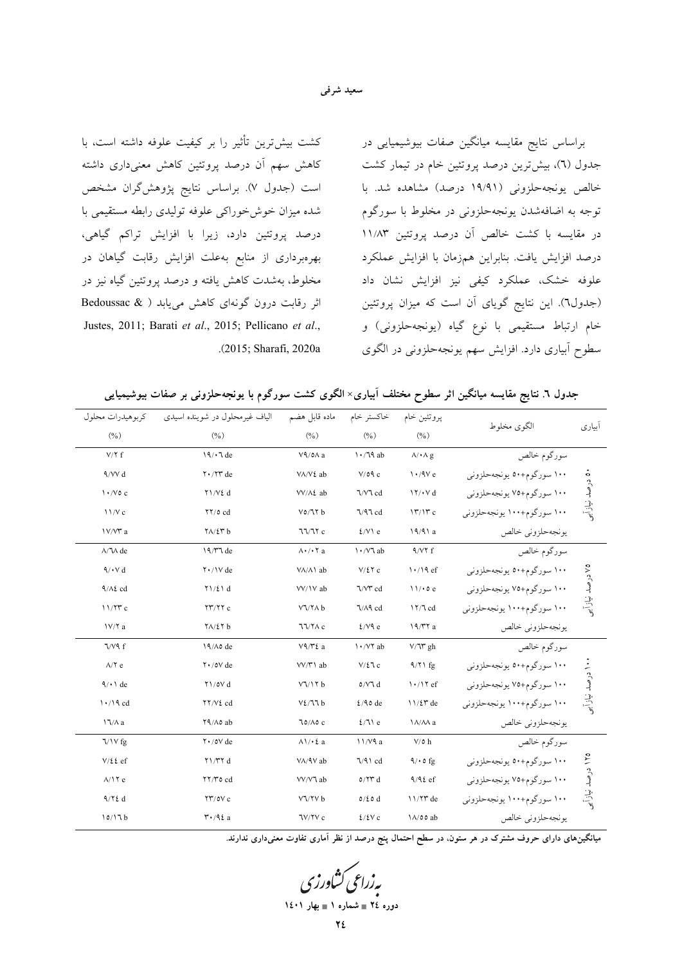#### سعيد شرفي

كشت بيش ترين تأثير را بر كيفيت علوفه داشته است، با کاهش سهم آن درصد پروتئین کاهش معنیداری داشته است (جدول ۷). براساس نتایج پژوهشگران مشخص شده میزان خوشخوراکی علوفه تولیدی رابطه مستقیمی با درصد پروتئین دارد، زیرا با افزایش تراکم گیاهی، بهرهبرداری از منابع بهعلت افزایش رقابت گیاهان در مخلوط، بهشدت کاهش یافته و درصد پروتئین گیاه نیز در اثر رقابت درون گونهای کاهش مییابد ( & Bedoussac Justes, 2011; Barati et al., 2015; Pellicano et al., .(2015; Sharafi, 2020a براساس نتايج مقايسه ميانگين صفات بيوشيميايي در جدول (٦)، بیش ترین درصد پروتئین خام در تیمار کشت خالص یونجهحلزونی (۱۹/۹۱ درصد) مشاهده شد. با توجه به اضافهشدن یونجهحلزونی در مخلوط با سورگوم در مقايسه با كشت خالص آن درصد پروتئين ١١/٨٣ درصد افزایش یافت. بنابراین همزمان با افزایش عملکرد علوفه خشک، عملکرد کیفی نیز افزایش نشان داد (جدول٦). این نتایج گویای آن است که میزان پروتئین خام ارتباط مستقیمی با نوع گیاه (یونجهحلزونی) و سطوح ابیاری دارد. افزایش سهم یونجهحلزونی در الگوی

جدول ٦. نتايج مقايسه ميانگين اثر سطوح مختلف آبياري× الگوى كشت سورگوم با يونجهحلزون<sub>ى</sub> بر صفات بيوشيميايى

|                             |                            | پروتئين خام                           | خاكستر خام                    | ماده قابل هضم                                                                           | الیاف غیر محلول در شوینده اسیدی            | کر ہو ہیدرات محلول<br>(9/0)  |  |
|-----------------------------|----------------------------|---------------------------------------|-------------------------------|-----------------------------------------------------------------------------------------|--------------------------------------------|------------------------------|--|
| أبياري                      | الگوی مخلوط                | (0/0)                                 | (0/0)                         | (0/0)                                                                                   | (9/6)                                      |                              |  |
|                             | سورگوم خالص                | $\lambda/\cdot \Lambda$ g             | $\frac{1}{4}$                 | $V$ ۹/٥ $\wedge$ a                                                                      | 19/10e                                     | $V/Y$ f                      |  |
|                             | ۱۰۰ سورگوم+۵۰ یونجهحلزونی  | $\frac{1.4V}{1.6}$                    | V/O9c                         | VA/V٤ ab                                                                                | $Y \cdot / YY$ de                          | $4/VV$ d                     |  |
| ۵۰ درصد نیاز آبی            | ۱۰۰ سورگوم+۷۵ يونجهحلزوني  | $\frac{1}{\sqrt{2}}$                  | ٦/٧٦ cd                       | VV/A2 ab                                                                                | ۲۱/V٤ d                                    | $\frac{1}{\sqrt{6}}$         |  |
|                             | ۱۰۰ سورگوم+۱۰۰ یونجهحلزونی | 17/17c                                | $\sqrt{4}$ cd                 | $V_0/V b$                                                                               | $\frac{1}{2}$ or $cd$                      | 11/Vc                        |  |
|                             | يونجهحلزوني خالص           | 19/91a                                | $2/V \$ e                     | 77/77c                                                                                  | $Y\Lambda/\mathcal{E}Y$ b                  | IV/V a                       |  |
|                             | سورگوم خالص                | $4/VT$ f                              | ۱۰/۷٦ ab                      | $\wedge\!\!\!\cdot\!\!\!\cdot\!\!\!\cdot\!\!\!\cdot\!\!\!\cdot\!\!\!\cdot\!\!\!\cdot$ a | 19/٣٦ de                                   | $\Lambda/\Upsilon\Lambda$ de |  |
|                             | ۱۰۰ سورگوم+۵۰ یونجهحلزونی  | $\frac{1.19}{6}$                      | $V/\Sigma \Upsilon c$         | VA/A\ ab                                                                                | $\mathsf{Y} \cdot / \mathsf{V}$ de         | $4/\cdot$ $\vee$ d           |  |
| ۷۵ درصد نیازآب <sub>ر</sub> | ۱۰۰ سورگوم+۷۵ يونجهحلزوني  | 11/0e                                 | ٦/٧٣ cd                       | VV/1V ab                                                                                | $Y\setminus Z\setminus d$                  | $9/\lambda\ell$ cd           |  |
|                             | ۱۰۰ سورگوم+۱۰۰ یونجهحلزونی | $17/7$ cd                             | ٦/٨٩ cd                       | $V\sqrt{7}$ b                                                                           | $\frac{1}{\sqrt{2}}$                       | 11/77c                       |  |
|                             | يونجهحلزوني خالص           | $19/T$ a                              | $2/V$ ۹ e                     | 77/7AC                                                                                  | $Y \wedge / \Sigma Y$ b                    | $1V/Y$ a                     |  |
|                             | سورگوم خالص                | $V/\mathcal{V}$ gh                    | 1 · / V ab                    | V9/Y2a                                                                                  | 19/Ao de                                   | $\sqrt{\sqrt{9}}$ f          |  |
|                             | ۱۰۰ سورگوم+۵۰ یونجهحلزونی  | $9/71$ fg                             | $V/\mathcal{E}$ c             | VV/\'\ ab                                                                               | $Y \cdot / 0V$ de                          | $\Lambda/\Upsilon$ e         |  |
| ۱۰ درصد نیازأبر             | ۱۰۰ سورگوم+۷۵ يونجهحلزوني  | $\frac{1 \cdot 7 \cdot 5}{1 \cdot 6}$ | $\mathfrak{o}/\mathsf{V}$ l d | $V\sqrt{17}b$                                                                           | $Y\$ / $oV d$                              | $\sqrt{\cdot}$ de            |  |
|                             | ۱۰۰ سورگوم+۱۰۰ یونجهحلزونی | $11/27$ de                            | $\frac{2}{4}$ o de            | V2/T1b                                                                                  | ۲۲/V٤ cd                                   | $\frac{1}{4}$                |  |
|                             | يونجهحلزوني خالص           | <b>1A/AA</b> a                        | $2/71$ e                      | $70/\lambda 0c$                                                                         | YA/Ao ab                                   | $\frac{1}{\sqrt{2}}$         |  |
|                             | سورگوم خالص                | $V/\mathfrak{o}$ h                    | 11/V9a                        | $\Lambda \setminus \Lambda$ 2 a                                                         | $Y \cdot / oV$ de                          | $\sqrt{Vfg}$                 |  |
|                             | ۱۰۰ سورگوم+۵۰ یونجهحلزونی  | $9/0$ fg                              | $\sqrt{9}$ cd                 | VA/9V ab                                                                                | $\gamma \gamma \gamma d$                   | $V/\xi\ell$ ef               |  |
|                             | ۱۰۰ سورگوم+۷۵ يونجهحلزوني  | $9/42$ ef                             | 0/7T d                        | VV/V ab                                                                                 | YY/To cd                                   | $\lambda/\mathrm{17}$ e      |  |
| ۱۲۵ درصد نیازأبر            | ۱۰۰ سورگوم+۱۰۰ یونجهحلزونی | $11/77$ de                            | $0/\xi$ o d                   | VV/YV b                                                                                 | $\frac{1}{2}$                              | 9/72 d                       |  |
|                             | يونجه حلزوني خالص          | 1A/00 ab                              | 2/2Vc                         | ٦V/٢V c                                                                                 | $\mathsf{r} \cdot \mathsf{A} \mathsf{t}$ a | 10/17b                       |  |
|                             |                            |                                       |                               |                                                                                         |                                            |                              |  |

ً میانگینِهای دارای حروف مشترک در هر ستون، در سطح احتمال پنج درصد از نظر آماری تفاوت معنیِداری ندارند.

پەزراعى كشاورزى دوره ٢٤ = شماره ١ = بهار ١٤٠١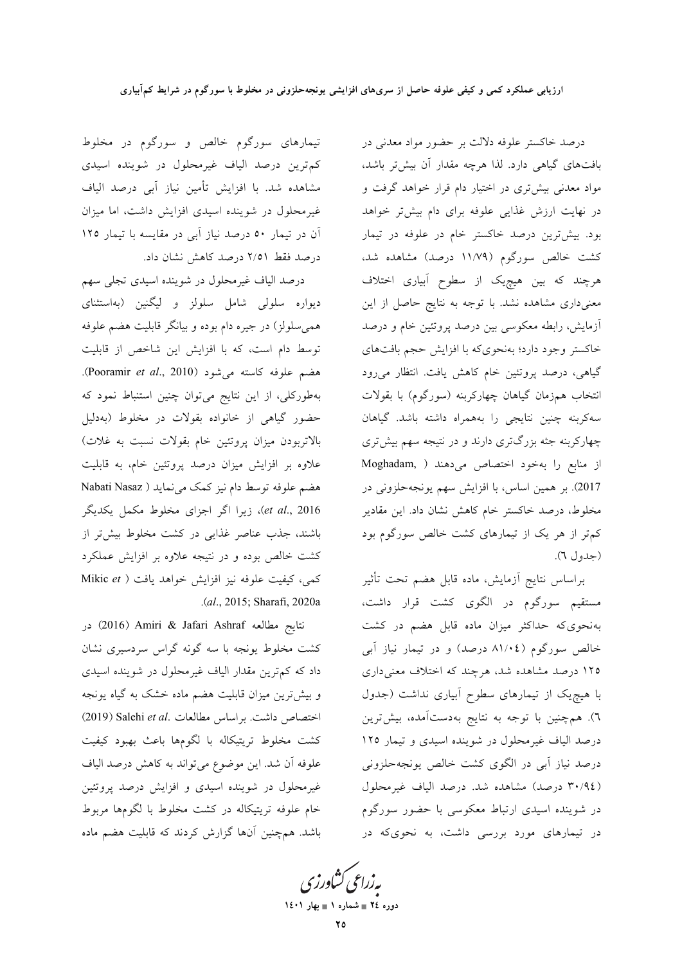درصد خاکستر علوفه دلالت بر حضور مواد معدنی در بافتهای گیاهی دارد. لذا هرچه مقدار آن بیشتر باشد، مواد معدنی بیشتری در اختیار دام قرار خواهد گرفت و در نهایت ارزش غذایی علوفه برای دام بیشتر خواهد بود. بیشترین درصد خاکستر خام در علوفه در تیمار کشت خالص سورگوم (۱۱/۷۹ درصد) مشاهده شد، هرچند که بین هیچیک از سطوح آبیاری اختلاف معنیداری مشاهده نشد. با توجه به نتایج حاصل از این آزمایش، رابطه معکوسی بین درصد پروتئین خام و درصد خاکستر وجود دارد؛ بهنحویکه با افزایش حجم بافتهای گیاهی، درصد پروتئین خام کاهش یافت. انتظار میرود انتخاب همزمان گیاهان چهارکربنه (سورگوم) با بقولات سه كربنه چنين نتايجي را بههمراه داشته باشد. گياهان چهارکربنه جثه بزرگتری دارند و در نتیجه سهم بیشتری از منابع را بهخود اختصاص می دهند ( Moghadam, 2017). بر همین اساس، با افزایش سهم یونجهحلزونی در مخلوط، درصد خاکستر خام کاهش نشان داد. این مقادیر کم تر از هر یک از تیمارهای کشت خالص سورگوم بود (جدول ٦).

براساس نتايج أزمايش، ماده قابل هضم تحت تأثير مستقیم سورگوم در الگوی کشت قرار داشت، بهنحوی که حداکثر میزان ماده قابل هضم در کشت خالص سورگوم (۸۱/۰٤ درصد) و در تیمار نیاز آبی ۱۲۵ درصد مشاهده شد، هرچند که اختلاف معنی داری با هیچ یک از تیمارهای سطوح آبیاری نداشت (جدول ٦). همچنین با توجه به نتایج بهدستآمده، بیشترین درصد الیاف غیرمحلول در شوینده اسیدی و تیمار ۱۲۵ درصد نیاز آبی در الگوی کشت خالص یونجهحلزونی (٣٠/٩٤ درصد) مشاهده شد. درصد الياف غيرمحلول در شوینده اسیدی ارتباط معکوسی با حضور سورگوم در تیمارهای مورد بررسی داشت، به نحویکه در

تیمارهای سورگوم خالص و سورگوم در مخلوط کم ترین درصد الیاف غیرمحلول در شوینده اسیدی مشاهده شد. با افزایش تأمین نیاز آبی درصد الیاف غیرمحلول در شوینده اسیدی افزایش داشت، اما میزان آن در تیمار ٥٠ درصد نیاز آبی در مقایسه با تیمار ١٢٥ درصد فقط ۲/۵۱ درصد کاهش نشان داد.

درصد الياف غيرمحلول در شوينده اسيدي تجلي سهم دیواره سلولی شامل سلولز و لیگنین (بهاستثنای همی سلولز) در جیره دام بوده و بیانگر قابلیت هضم علوفه توسط دام است، که با افزایش این شاخص از قابلیت هضم علوفه كاسته مى شود (Pooramir *et al.*, 2010). بهطورکلی، از این نتایج میتوان چنین استنباط نمود که حضور گیاهی از خانواده بقولات در مخلوط (بهدلیل بالاتربودن میزان پروتئین خام بقولات نسبت به غلات) علاوه بر افزایش میزان درصد پروتئین خام، به قابلیت هضم علوفه توسط دام نيز كمك مي نمايد ( Nabati Nasaz et al., 2016)، زیرا اگر اجزای مخلوط مکمل یکدیگر باشند، جذب عناصر غذایی در کشت مخلوط بیشتر از کشت خالص بوده و در نتیجه علاوه بر افزایش عملکرد كمي، كيفيت علوفه نيز افزايش خواهد يافت ( Mikic et .(al., 2015; Sharafi, 2020a

نتايج مطالعه Jafari Ashraf (2016) در کشت مخلوط یونجه با سه گونه گراس سردسیری نشان داد که کم ترین مقدار الیاف غیرمحلول در شوینده اسیدی و بیش ترین میزان قابلیت هضم ماده خشک به گیاه یونجه اختصاص داشت. براساس مطالعات .Salehi et al (2019) كشت مخلوط تريتيكاله با لگومها باعث بهبود كيفيت علوفه أن شد. اين موضوع مي تواند به كاهش درصد الياف غیرمحلول در شوینده اسیدی و افزایش درصد پروتئین خام علوفه تريتيكاله در كشت مخلوط با لگومها مربوط باشد. همچنین آنها گزارش کردند که قابلیت هضم ماده

بەزراعى كشاورز دوره ٢٤ = شماره ١ = بهار ١٤٠١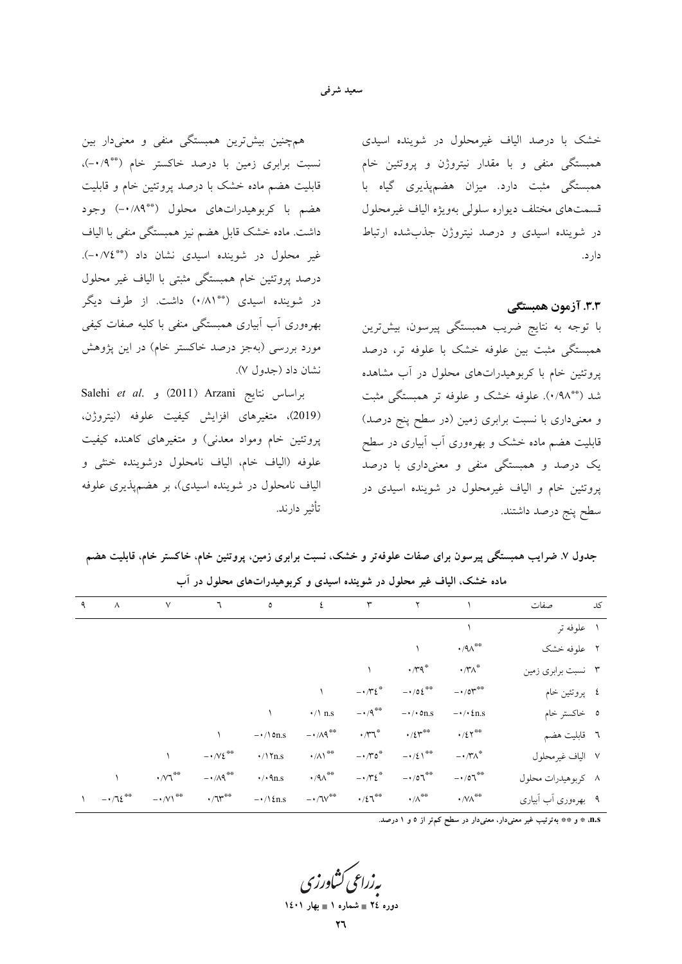#### سعید شرفی

همچنین بیشترین همبستگی منفی و معنیدار بین نسبت برابری زمین با درصد خاکستر خام (\*\*)۰-)، قابلیت هضم ماده خشک با درصد پروتئین خام و قابلیت هضم با کربوهیدراتهای محلول (\*\*۰/۸۹) وجود داشت. ماده خشک قابل هضم نیز همبستگی منفی با الیاف غیر محلول در شوینده اسیدی نشان داد (\*\*۰/۷٤). درصد پروتئین خام همبستگی مثبتی با الیاف غیر محلول در شوینده اسیدی (\*\*۸۱/۰) داشت. از طرف دیگر بهرەورى آب آبيارى همبستگى منفى با كليه صفات كيفى مورد بررسی (بهجز درصد خاکستر خام) در این یژوهش نشان داد (جدول ۷).

Salehi et al. و (2011) Arzani) (2019)، متغيرهاي افزايش كيفيت علوفه (نيتروژن، پروتئین خام ومواد معدنی) و متغیرهای کاهنده کیفیت علوفه (الياف خام، الياف نامحلول درشوينده خنثى و الياف نامحلول در شوينده اسيدي)، بر هضم يذيري علوفه تأثير دارند.

خشک با درصد الیاف غیرمحلول در شوینده اسیدی همبستگی منفی و با مقدار نیتروژن و پروتئین خام همبستگی مثبت دارد. میزان هضمپذیری گیاه با قسمتهاى مختلف ديواره سلولى بهويژه الياف غيرمحلول در شوینده اسیدی و درصد نیتروژن جذبشده ارتباط دارد.

٣.٣. آزمون همبستگي

با توجه به نتایج ضریب همبستگی پیرسون، بیشترین همبستگی مثبت بین علوفه خشک با علوفه تر، درصد پروتئین خام با کربوهیدراتهای محلول در آب مشاهده شد (\*\*۹۸). علوفه خشک و علوفه تر همبستگی مثبت و معنیداری با نسبت برابری زمین (در سطح پنج درصد) قابلیت هضم ماده خشک و بهرهوری آب آبیاری در سطح یک درصد و همبستگی منفی و معنیداری با درصد پروتئین خام و الیاف غیرمحلول در شوینده اسیدی در سطح پنج درصد داشتند.

جدول ۷. ضرایب همبستگی پیرسون برای صفات علوفهتر و خشک، نسبت برابری زمین، پروتئین خام، خاکستر خام، قابلیت هضم ماده خشک، الیاف غیر محلول در شوینده اسیدی و کربوهیدراتهای محلول در آب

| $\sim$ $\sim$ | $\vee$                                  | $\mathcal{L}$               |                        |                                                           |                                       | $\circ$ $\epsilon$ $\qquad \qquad$ $\qquad$ $\qquad$ $\qquad$ $\qquad$ $\qquad$ $\qquad$ $\qquad$ $\qquad$ $\qquad$ $\qquad$ $\qquad$ $\qquad$ $\qquad$ $\qquad$ $\qquad$ $\qquad$ $\qquad$ $\qquad$ $\qquad$ $\qquad$ $\qquad$ $\qquad$ $\qquad$ $\qquad$ $\qquad$ $\qquad$ $\qquad$ $\qquad$ $\qquad$ $\qquad$ $\qquad$ $\qquad$ $\qquad$ $\qquad$ |                                                              | کد ا<br>صفات        |  |
|---------------|-----------------------------------------|-----------------------------|------------------------|-----------------------------------------------------------|---------------------------------------|------------------------------------------------------------------------------------------------------------------------------------------------------------------------------------------------------------------------------------------------------------------------------------------------------------------------------------------------------|--------------------------------------------------------------|---------------------|--|
|               |                                         |                             |                        |                                                           |                                       |                                                                                                                                                                                                                                                                                                                                                      |                                                              | ۱ علوفه تر          |  |
|               |                                         |                             |                        |                                                           |                                       |                                                                                                                                                                                                                                                                                                                                                      | $\cdot$ /٩ $\wedge^{\text{\tiny\textsf{\tiny $4$}\$}}$       | ۲ علوفه خشک         |  |
|               |                                         |                             |                        |                                                           |                                       | $\cdot \pi$ q*                                                                                                                                                                                                                                                                                                                                       | $\boldsymbol{\cdot} \wedge \!\! \boldsymbol{\cdot} \wedge^*$ | ۳ نسبت برابری زمین  |  |
|               |                                         |                             |                        |                                                           | $ \cdot \pi i$                        | $-105$                                                                                                                                                                                                                                                                                                                                               | $-10r$                                                       | ٤ پروتئين خام       |  |
|               |                                         |                             |                        | $\cdot/\lambda$ n.s                                       | $-$ + /9 **                           | $-\cdot/\cdot$ on.s                                                                                                                                                                                                                                                                                                                                  | $-\cdot/\cdot\text{2n.s}$                                    | ہ خاکستر خام        |  |
|               |                                         |                             | $-\cdot/\ln s$         | $- \cdot / \Lambda$ q <sup>**</sup>                       | $\cdot$ / $\sim$ $\sim$               | $\cdot$ / $\zeta$ r <sup>**</sup>                                                                                                                                                                                                                                                                                                                    | $\cdot/27$ **                                                | ٦ قابليت هضم        |  |
|               |                                         | $-1/\sqrt{2}$               | $\cdot/\$ \ \tn.s      | $\cdot$ // \ $^{**}$                                      | $-10^{\circ}$                         | $-1/21$ <sup>**</sup>                                                                                                                                                                                                                                                                                                                                | $- \cdot \wedge^* \wedge^*$                                  | ٧ الياف غيرمحلول    |  |
|               | $\cdot$ / $\vee$ $\uparrow$             | $- \cdot / \Lambda$ ٩ $*$   | $\cdot$ / $\cdot$ 9n.s | $\cdot$ /٩ $\wedge^{\text{\tiny\textsf{\tiny $4$}}\circ}$ | $ \cdot$ / $\cdot$ $\epsilon$ $\cdot$ | $-107$                                                                                                                                                                                                                                                                                                                                               | $-107$                                                       | ۸ کربوهیدرات محلول  |  |
| $-1.72$       | $- \cdot / \vee \wedge^{\otimes \circ}$ | $\cdot/\Upsilon^{\ast\ast}$ | $-\cdot/\Omega$ n.s    | $-$ - $/ {\rm{TV}}^{\otimes \otimes}$                     |                                       | $\cdot / \xi \mathrm{T}^{\ast \ast} \longrightarrow / \Lambda^{\ast \ast}$                                                                                                                                                                                                                                                                           | $\boldsymbol{\cdot}$ /V/ $\!\!$                              | ۹ بهرهوری أب أبیاری |  |
|               |                                         |                             |                        |                                                           |                                       |                                                                                                                                                                                                                                                                                                                                                      |                                                              |                     |  |

n.s. \* و \*\* بهترتیب غیر معنیدار، معنیدار در سطح کم تر از ٥ و ١ درصد.

دوره ٢٤ = شماره ١ = بهار ١٤٠١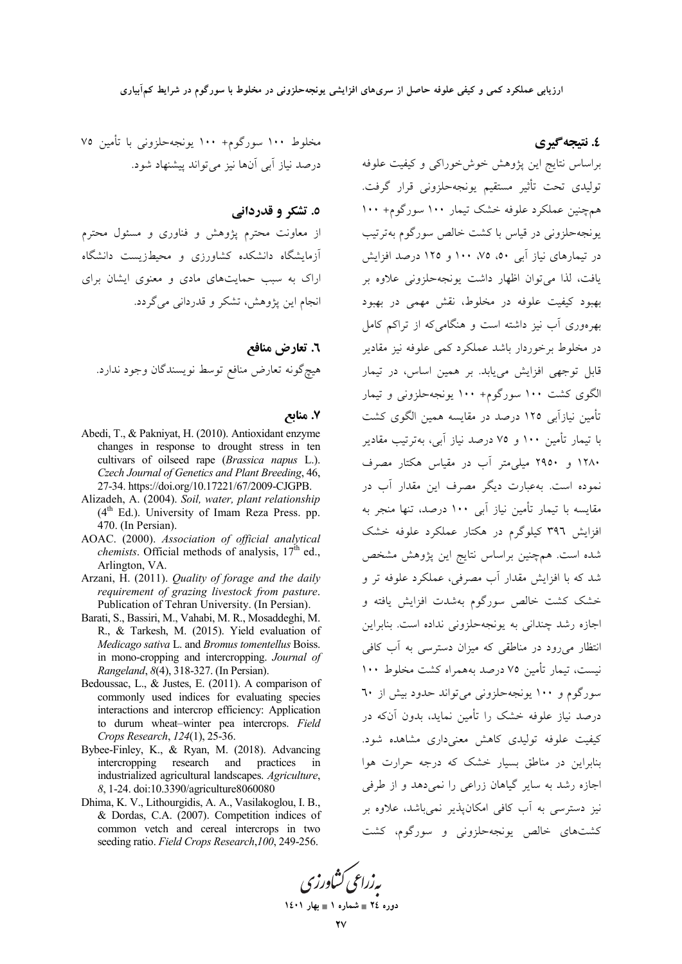#### ٤. نتيجه گيري

مخلوط ۱۰۰ سورگوم+ ۱۰۰ یونجهحلزونی با تأمین ۷۵ درصد نیاز آبی آنها نیز میتواند پیشنهاد شود.

#### ٥. تشکر و قدردانی

از معاونت محترم پژوهش و فناوری و مسئول محترم آزمایشگاه دانشکده کشاورزی و محیطزیست دانشگاه اراک به سبب حمایتهای مادی و معنوی ایشان برای انجام اين يژوهش، تشكر و قدرداني مي گردد.

٦. تعارض منافع هيچ گونه تعارض منافع توسط نويسندگان وجود ندارد.

#### ۷. منابع

- Abedi, T., & Paknivat, H. (2010). Antioxidant enzyme changes in response to drought stress in ten cultivars of oilseed rape (Brassica napus L.). Czech Journal of Genetics and Plant Breeding, 46, 27-34. https://doi.org/10.17221/67/2009-CJGPB.
- Alizadeh, A. (2004). Soil, water, plant relationship (4<sup>th</sup> Ed.). University of Imam Reza Press. pp. 470. (In Persian).
- AOAC. (2000). Association of official analytical *chemists*. Official methods of analysis,  $17<sup>th</sup>$  ed., Arlington, VA.
- Arzani, H. (2011). Quality of forage and the daily requirement of grazing livestock from pasture. Publication of Tehran University. (In Persian).
- Barati, S., Bassiri, M., Vahabi, M. R., Mosaddeghi, M. R., & Tarkesh, M. (2015). Yield evaluation of Medicago sativa L. and Bromus tomentellus Boiss. in mono-cropping and intercropping. Journal of Rangeland, 8(4), 318-327. (In Persian).
- Bedoussac, L., & Justes, E. (2011). A comparison of commonly used indices for evaluating species interactions and intercrop efficiency: Application to durum wheat-winter pea intercrops. Field Crops Research, 124(1), 25-36.
- Bybee-Finley, K., & Ryan, M. (2018). Advancing intercropping research and practices in industrialized agricultural landscapes. Agriculture, 8, 1-24. doi:10.3390/agriculture8060080
- Dhima, K. V., Lithourgidis, A. A., Vasilakoglou, I. B., & Dordas, C.A. (2007). Competition indices of common vetch and cereal intercrops in two seeding ratio. Field Crops Research, 100, 249-256.

براساس نتايج اين پژوهش خوشخوراكي و كيفيت علوفه توليدي تحت تأثير مستقيم يونجهحلزوني قرار گرفت. همچنین عملکرد علوفه خشک تیمار ۱۰۰ سورگوم+ ۱۰۰ یونجهحلزونی در قیاس با کشت خالص سورگوم بهترتیب در تیمارهای نیاز آبی ۵۰، ۷۵، ۱۰۰ و ۱۲۵ درصد افزایش یافت، لذا می توان اظهار داشت یونجه حلزونی علاوه بر بهبود کیفیت علوفه در مخلوط، نقش مهمی در بهبود بهرهوری آب نیز داشته است و هنگامی که از تراکم کامل در مخلوط برخوردار باشد عملکرد کمی علوفه نیز مقادیر .<br>قابل توجهی افزایش مییابد. بر همین اساس، در تیمار الگوی کشت ۱۰۰ سورگوم+ ۱۰۰ یونجهحلزونی و تیمار تأمین نیازآبی ۱۲۵ درصد در مقایسه همین الگوی کشت با تیمار تأمین ۱۰۰ و ۷۵ درصد نیاز آبی، بهترتیب مقادیر ۱۲۸۰ و ۲۹۵۰ میلم متر آب در مقیاس هکتار مصرف .<br>نموده است. بهعبارت دیگر مصرف این مقدار آب در مقایسه با تیمار تأمین نیاز آبی ۱۰۰ درصد، تنها منجر به افزایش ۳۹٦ کیلوگرم در هکتار عملکرد علوفه خشک شده است. همچنین براساس نتایج این پژوهش مشخص شد که با افزایش مقدار آب مصرفی، عملکرد علوفه تر و خشک کشت خالص سورگوم بهشدت افزایش یافته و اجازه رشد چندانی به یونجهحلزونی نداده است. بنابراین انتظار می رود در مناطقی که میزان دسترسی به آب کافی نیست، تیمار تأمین ۷۵ درصد بههمراه کشت مخلوط ۱۰۰ سورگوم و ۱۰۰ یونجهحلزونی می تواند حدود بیش از ٦٠ درصد نیاز علوفه خشک را تأمین نماید، بدون آنکه در کیفیت علوفه تولیدی کاهش معنیداری مشاهده شود. بنابراین در مناطق بسیار خشک که درجه حرارت هوا اجازه رشد به سایر گیاهان زراعی را نمی دهد و از طرفی نیز دسترسی به آب کافی امکان پذیر نمی باشد، علاوه بر کشتهای خالص یونجهحلزونی و سورگوم، کشت

پەزراعى ڭشاورز' دوره ٢٤ = شماره ١ = بهار ١٤٠١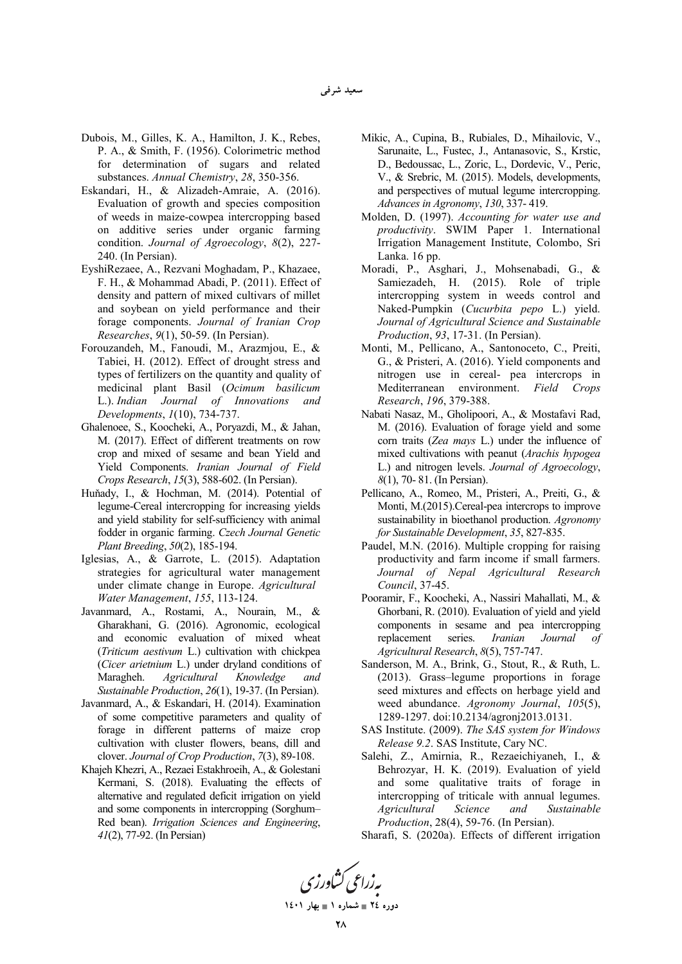- Dubois, M., Gilles, K. A., Hamilton, J. K., Rebes, P. A., & Smith, F. (1956). Colorimetric method for determination of sugars and related substances. *Annual Chemistry*, *28*, 350-356.
- Eskandari, H., & Alizadeh-Amraie, A. (2016). Evaluation of growth and species composition of weeds in maize-cowpea intercropping based on additive series under organic farming condition. *Journal of Agroecology*, *8*(2), 227- 240. (In Persian).
- EyshiRezaee, A., Rezvani Moghadam, P., Khazaee, F. H., & Mohammad Abadi, P. (2011). Effect of density and pattern of mixed cultivars of millet and soybean on yield performance and their forage components. *Journal of Iranian Crop Researches*, *9*(1), 50-59. (In Persian).
- Forouzandeh, M., Fanoudi, M., Arazmjou, E., & Tabiei, H. (2012). Effect of drought stress and types of fertilizers on the quantity and quality of medicinal plant Basil (*Ocimum basilicum* L.). *Indian Journal of Innovations and Developments*, *1*(10), 734-737.
- Ghalenoee, S., Koocheki, A., Poryazdi, M., & Jahan, M. (2017). Effect of different treatments on row crop and mixed of sesame and bean Yield and Yield Components. *Iranian Journal of Field Crops Research*, *15*(3), 588-602. (In Persian).
- Huňady, I., & Hochman, M. (2014). Potential of legume-Cereal intercropping for increasing yields and yield stability for self-sufficiency with animal fodder in organic farming. *Czech Journal Genetic Plant Breeding*, *50*(2), 185-194.
- Iglesias, A., & Garrote, L. (2015). Adaptation strategies for agricultural water management under climate change in Europe. *Agricultural Water Management*, *155*, 113-124.
- Javanmard, A., Rostami, A., Nourain, M., & Gharakhani, G. (2016). Agronomic, ecological and economic evaluation of mixed wheat (*Triticum aestivum* L.) cultivation with chickpea (*Cicer arietnium* L.) under dryland conditions of Maragheh. *Agricultural Knowledge and Sustainable Production*, *26*(1), 19-37. (In Persian).
- Javanmard, A., & Eskandari, H. (2014). Examination of some competitive parameters and quality of forage in different patterns of maize crop cultivation with cluster flowers, beans, dill and clover. *Journal of Crop Production*, *7*(3), 89-108.
- Khajeh Khezri, A., Rezaei Estakhroeih, A., & Golestani Kermani, S. (2018). Evaluating the effects of alternative and regulated deficit irrigation on yield and some components in intercropping (Sorghum– Red bean). *Irrigation Sciences and Engineering*, *41*(2), 77-92. (In Persian)
- Mikic, A., Cupina, B., Rubiales, D., Mihailovic, V., Sarunaite, L., Fustec, J., Antanasovic, S., Krstic, D., Bedoussac, L., Zoric, L., Dordevic, V., Peric, V., & Srebric, M. (2015). Models, developments, and perspectives of mutual legume intercropping. *Advances in Agronomy*, *130*, 337- 419.
- Molden, D. (1997). *Accounting for water use and productivity*. SWIM Paper 1. International Irrigation Management Institute, Colombo, Sri Lanka. 16 pp.
- Moradi, P., Asghari, J., Mohsenabadi, G., & Samiezadeh, H. (2015). Role of triple intercropping system in weeds control and Naked-Pumpkin (*Cucurbita pepo* L.) yield. *Journal of Agricultural Science and Sustainable Production*, *93*, 17-31. (In Persian).
- Monti, M., Pellicano, A., Santonoceto, C., Preiti, G., & Pristeri, A. (2016). Yield components and nitrogen use in cereal- pea intercrops in Mediterranean environment. *Field Crops Research*, *196*, 379-388.
- Nabati Nasaz, M., Gholipoori, A., & Mostafavi Rad, M. (2016). Evaluation of forage yield and some corn traits (*Zea mays* L.) under the influence of mixed cultivations with peanut (*Arachis hypogea* L.) and nitrogen levels. *Journal of Agroecology*, *8*(1), 70- 81. (In Persian).
- Pellicano, A., Romeo, M., Pristeri, A., Preiti, G., & Monti, M.(2015).Cereal-pea intercrops to improve sustainability in bioethanol production. *Agronomy for Sustainable Development*, *35*, 827-835.
- Paudel, M.N. (2016). Multiple cropping for raising productivity and farm income if small farmers. *Journal of Nepal Agricultural Research Council*, 37-45.
- Pooramir, F., Koocheki, A., Nassiri Mahallati, M., & Ghorbani, R. (2010). Evaluation of yield and yield components in sesame and pea intercropping replacement series. *Iranian Journal of Agricultural Research*, *8*(5), 757-747.
- Sanderson, M. A., Brink, G., Stout, R., & Ruth, L. (2013). Grass–legume proportions in forage seed mixtures and effects on herbage yield and weed abundance. *Agronomy Journal*, *105*(5), 1289-1297. doi:10.2134/agronj2013.0131.
- SAS Institute. (2009). *The SAS system for Windows Release 9.2*. SAS Institute, Cary NC.
- Salehi, Z., Amirnia, R., Rezaeichiyaneh, I., & Behrozyar, H. K. (2019). Evaluation of yield and some qualitative traits of forage in intercropping of triticale with annual legumes. *Agricultural Science and Sustainable Production*, 28(4), 59-76. (In Persian).
- Sharafi, S. (2020a). Effects of different irrigation

به زراعی کشاورزی

**1401  1 - 24 -**